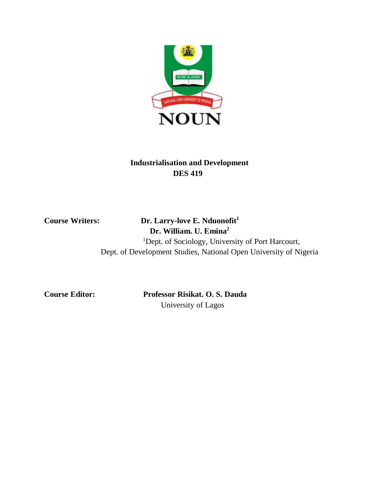

# **Industrialisation and Development DES 419**

# **Course Writers: Dr. Larry-love E. Nduonofit<sup>1</sup> Dr. William. U. Emina<sup>2</sup>**

<sup>1</sup>Dept. of Sociology, University of Port Harcourt, Dept. of Development Studies, National Open University of Nigeria

**Course Editor: Professor Risikat. O. S. Dauda** University of Lagos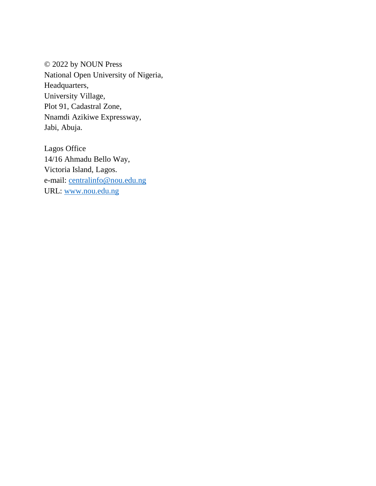© 2022 by NOUN Press National Open University of Nigeria, Headquarters, University Village, Plot 91, Cadastral Zone, Nnamdi Azikiwe Expressway, Jabi, Abuja.

Lagos Office 14/16 Ahmadu Bello Way, Victoria Island, Lagos. e-mail: centralinfo@nou.edu.ng URL: www.nou.edu.ng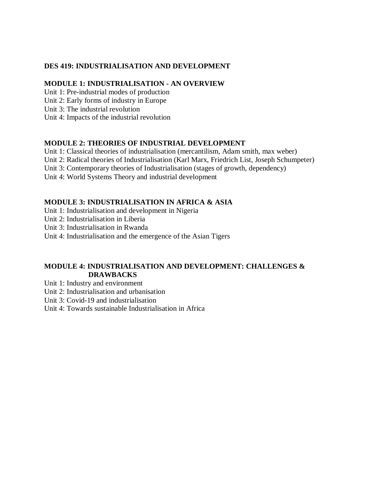## **DES 419: INDUSTRIALISATION AND DEVELOPMENT**

## **MODULE 1: INDUSTRIALISATION - AN OVERVIEW**

Unit 1: Pre-industrial modes of production

Unit 2: Early forms of industry in Europe

Unit 3: The industrial revolution

Unit 4: Impacts of the industrial revolution

## **MODULE 2: THEORIES OF INDUSTRIAL DEVELOPMENT**

Unit 1: Classical theories of industrialisation (mercantilism, Adam smith, max weber)

Unit 2: Radical theories of Industrialisation (Karl Marx, Friedrich List, Joseph Schumpeter)

Unit 3: Contemporary theories of Industrialisation (stages of growth, dependency)

Unit 4: World Systems Theory and industrial development

## **MODULE 3: INDUSTRIALISATION IN AFRICA & ASIA**

Unit 1: Industrialisation and development in Nigeria

Unit 2: Industrialisation in Liberia

Unit 3: Industrialisation in Rwanda

Unit 4: Industrialisation and the emergence of the Asian Tigers

## **MODULE 4: INDUSTRIALISATION AND DEVELOPMENT: CHALLENGES & DRAWBACKS**

Unit 1: Industry and environment

Unit 2: Industrialisation and urbanisation

Unit 3: Covid-19 and industrialisation

Unit 4: Towards sustainable Industrialisation in Africa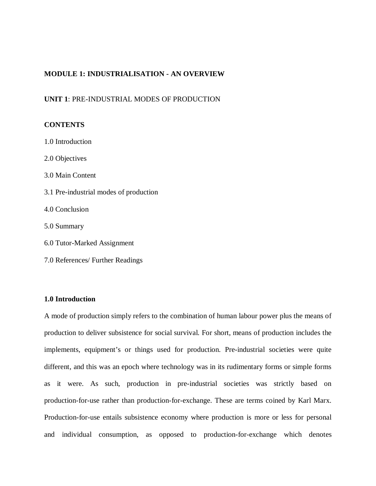### **MODULE 1: INDUSTRIALISATION - AN OVERVIEW**

### **UNIT 1**: PRE-INDUSTRIAL MODES OF PRODUCTION

### **CONTENTS**

- 1.0 Introduction
- 2.0 Objectives
- 3.0 Main Content
- 3.1 Pre-industrial modes of production
- 4.0 Conclusion
- 5.0 Summary
- 6.0 Tutor-Marked Assignment
- 7.0 References/ Further Readings

### **1.0 Introduction**

A mode of production simply refers to the combination of human labour power plus the means of production to deliver subsistence for social survival. For short, means of production includes the implements, equipment's or things used for production. Pre-industrial societies were quite different, and this was an epoch where technology was in its rudimentary forms or simple forms as it were. As such, production in pre-industrial societies was strictly based on production-for-use rather than production-for-exchange. These are terms coined by Karl Marx. Production-for-use entails subsistence economy where production is more or less for personal and individual consumption, as opposed to production-for-exchange which denotes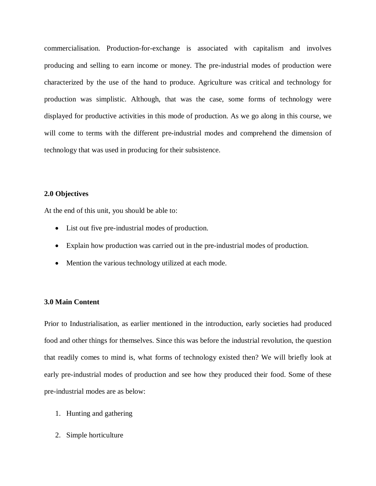commercialisation. Production-for-exchange is associated with capitalism and involves producing and selling to earn income or money. The pre-industrial modes of production were characterized by the use of the hand to produce. Agriculture was critical and technology for production was simplistic. Although, that was the case, some forms of technology were displayed for productive activities in this mode of production. As we go along in this course, we will come to terms with the different pre-industrial modes and comprehend the dimension of technology that was used in producing for their subsistence.

### **2.0 Objectives**

At the end of this unit, you should be able to:

- List out five pre-industrial modes of production.
- Explain how production was carried out in the pre-industrial modes of production.
- Mention the various technology utilized at each mode.

### **3.0 Main Content**

Prior to Industrialisation, as earlier mentioned in the introduction, early societies had produced food and other things for themselves. Since this was before the industrial revolution, the question that readily comes to mind is, what forms of technology existed then? We will briefly look at early pre-industrial modes of production and see how they produced their food. Some of these pre-industrial modes are as below:

- 1. Hunting and gathering
- 2. Simple horticulture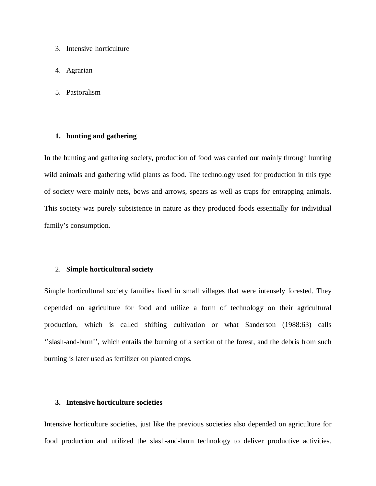- 3. Intensive horticulture
- 4. Agrarian
- 5. Pastoralism

### **1. hunting and gathering**

In the hunting and gathering society, production of food was carried out mainly through hunting wild animals and gathering wild plants as food. The technology used for production in this type of society were mainly nets, bows and arrows, spears as well as traps for entrapping animals. This society was purely subsistence in nature as they produced foods essentially for individual family's consumption.

### 2. **Simple horticultural society**

Simple horticultural society families lived in small villages that were intensely forested. They depended on agriculture for food and utilize a form of technology on their agricultural production, which is called shifting cultivation or what Sanderson (1988:63) calls ''slash-and-burn'', which entails the burning of a section of the forest, and the debris from such burning is later used as fertilizer on planted crops.

### **3. Intensive horticulture societies**

Intensive horticulture societies, just like the previous societies also depended on agriculture for food production and utilized the slash-and-burn technology to deliver productive activities.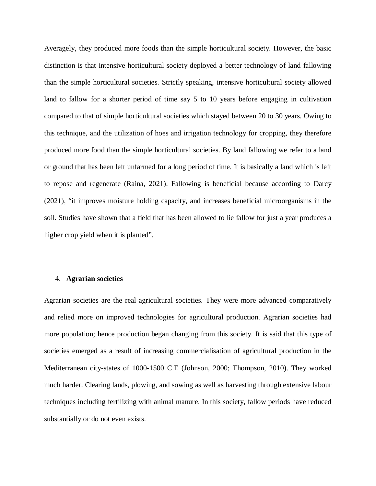Averagely, they produced more foods than the simple horticultural society. However, the basic distinction is that intensive horticultural society deployed a better technology of land fallowing than the simple horticultural societies. Strictly speaking, intensive horticultural society allowed land to fallow for a shorter period of time say 5 to 10 years before engaging in cultivation compared to that of simple horticultural societies which stayed between 20 to 30 years. Owing to this technique, and the utilization of hoes and irrigation technology for cropping, they therefore produced more food than the simple horticultural societies. By land fallowing we refer to a land or ground that has been left unfarmed for a long period of time. It is basically a land which is left to repose and regenerate (Raina, 2021). Fallowing is beneficial because according to Darcy (2021), "it improves moisture holding capacity, and increases beneficial microorganisms in the soil. Studies have shown that a field that has been allowed to lie fallow for just a year produces a higher crop yield when it is planted".

#### 4. **Agrarian societies**

Agrarian societies are the real agricultural societies. They were more advanced comparatively and relied more on improved technologies for agricultural production. Agrarian societies had more population; hence production began changing from this society. It is said that this type of societies emerged as a result of increasing commercialisation of agricultural production in the Mediterranean city-states of 1000-1500 C.E (Johnson, 2000; Thompson, 2010). They worked much harder. Clearing lands, plowing, and sowing as well as harvesting through extensive labour techniques including fertilizing with animal manure. In this society, fallow periods have reduced substantially or do not even exists.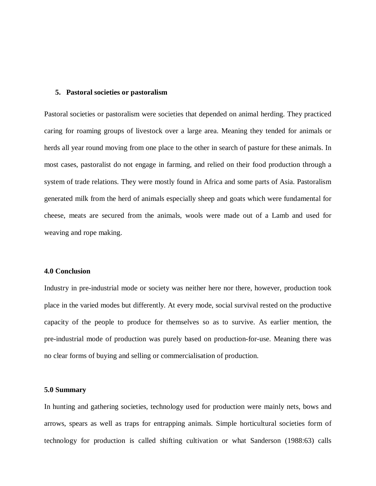### **5. Pastoral societies or pastoralism**

Pastoral societies or pastoralism were societies that depended on animal herding. They practiced caring for roaming groups of livestock over a large area. Meaning they tended for animals or herds all year round moving from one place to the other in search of pasture for these animals. In most cases, pastoralist do not engage in farming, and relied on their food production through a system of trade relations. They were mostly found in Africa and some parts of Asia. Pastoralism generated milk from the herd of animals especially sheep and goats which were fundamental for cheese, meats are secured from the animals, wools were made out of a Lamb and used for weaving and rope making.

#### **4.0 Conclusion**

Industry in pre-industrial mode or society was neither here nor there, however, production took place in the varied modes but differently. At every mode, social survival rested on the productive capacity of the people to produce for themselves so as to survive. As earlier mention, the pre-industrial mode of production was purely based on production-for-use. Meaning there was no clear forms of buying and selling or commercialisation of production.

### **5.0 Summary**

In hunting and gathering societies, technology used for production were mainly nets, bows and arrows, spears as well as traps for entrapping animals. Simple horticultural societies form of technology for production is called shifting cultivation or what Sanderson (1988:63) calls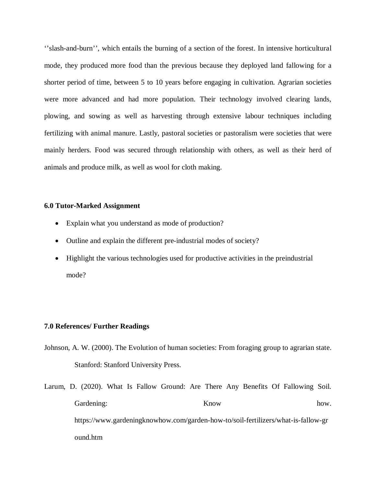''slash-and-burn'', which entails the burning of a section of the forest. In intensive horticultural mode, they produced more food than the previous because they deployed land fallowing for a shorter period of time, between 5 to 10 years before engaging in cultivation. Agrarian societies were more advanced and had more population. Their technology involved clearing lands, plowing, and sowing as well as harvesting through extensive labour techniques including fertilizing with animal manure. Lastly, pastoral societies or pastoralism were societies that were mainly herders. Food was secured through relationship with others, as well as their herd of animals and produce milk, as well as wool for cloth making.

### **6.0 Tutor-Marked Assignment**

- Explain what you understand as mode of production?
- Outline and explain the different pre-industrial modes of society?
- Highlight the various technologies used for productive activities in the preindustrial mode?

#### **7.0 References/ Further Readings**

- Johnson, A. W. (2000). The Evolution of human societies: From foraging group to agrarian state. Stanford: Stanford University Press.
- Larum, D. (2020). What Is Fallow Ground: Are There Any Benefits Of Fallowing Soil. Gardening: Know how. https://www.gardeningknowhow.com/garden-how-to/soil-fertilizers/what-is-fallow-gr ound.htm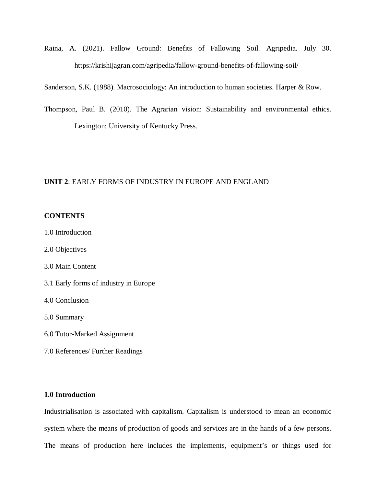Raina, A. (2021). Fallow Ground: Benefits of Fallowing Soil. Agripedia. July 30. https://krishijagran.com/agripedia/fallow-ground-benefits-of-fallowing-soil/

Sanderson, S.K. (1988). Macrosociology: An introduction to human societies. Harper & Row.

Thompson, Paul B. (2010). The Agrarian vision: Sustainability and environmental ethics. Lexington: University of Kentucky Press.

### **UNIT 2**: EARLY FORMS OF INDUSTRY IN EUROPE AND ENGLAND

### **CONTENTS**

- 1.0 Introduction
- 2.0 Objectives
- 3.0 Main Content
- 3.1 Early forms of industry in Europe
- 4.0 Conclusion

5.0 Summary

- 6.0 Tutor-Marked Assignment
- 7.0 References/ Further Readings

### **1.0 Introduction**

Industrialisation is associated with capitalism. Capitalism is understood to mean an economic system where the means of production of goods and services are in the hands of a few persons. The means of production here includes the implements, equipment's or things used for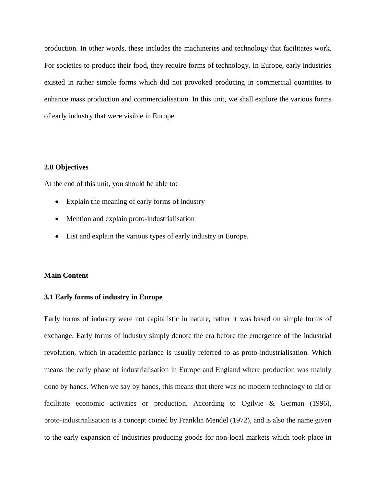production. In other words, these includes the machineries and technology that facilitates work. For societies to produce their food, they require forms of technology. In Europe, early industries existed in rather simple forms which did not provoked producing in commercial quantities to enhance mass production and commercialisation. In this unit, we shall explore the various forms of early industry that were visible in Europe.

### **2.0 Objectives**

At the end of this unit, you should be able to:

- Explain the meaning of early forms of industry
- Mention and explain proto-industrialisation
- List and explain the various types of early industry in Europe.

### **Main Content**

### **3.1 Early forms of industry in Europe**

Early forms of industry were not capitalistic in nature, rather it was based on simple forms of exchange. Early forms of industry simply denote the era before the emergence of the industrial revolution, which in academic parlance is usually referred to as proto-industrialisation. Which means the early phase of industrialisation in Europe and England where production was mainly done by hands. When we say by hands, this means that there was no modern technology to aid or facilitate economic activities or production. According to Ogilvie & German (1996), proto-industrialisation is a concept coined by Franklin Mendel (1972), and is also the name given to the early expansion of industries producing goods for non-local markets which took place in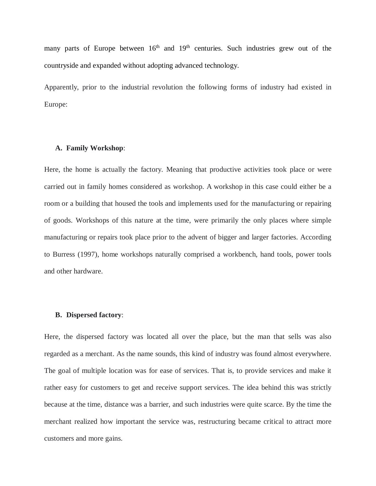many parts of Europe between  $16<sup>th</sup>$  and  $19<sup>th</sup>$  centuries. Such industries grew out of the countryside and expanded without adopting advanced technology.

Apparently, prior to the industrial revolution the following forms of industry had existed in Europe:

### **A. Family Workshop**:

Here, the home is actually the factory. Meaning that productive activities took place or were carried out in family homes considered as workshop. A workshop in this case could either be a room or a building that housed the tools and implements used for the manufacturing or repairing of goods. Workshops of this nature at the time, were primarily the only places where simple manufacturing or repairs took place prior to the advent of bigger and larger factories. According to Burress (1997), home workshops naturally comprised a workbench, hand tools, power tools and other hardware.

### **B. Dispersed factory**:

Here, the dispersed factory was located all over the place, but the man that sells was also regarded as a merchant. As the name sounds, this kind of industry was found almost everywhere. The goal of multiple location was for ease of services. That is, to provide services and make it rather easy for customers to get and receive support services. The idea behind this was strictly because at the time, distance was a barrier, and such industries were quite scarce. By the time the merchant realized how important the service was, restructuring became critical to attract more customers and more gains.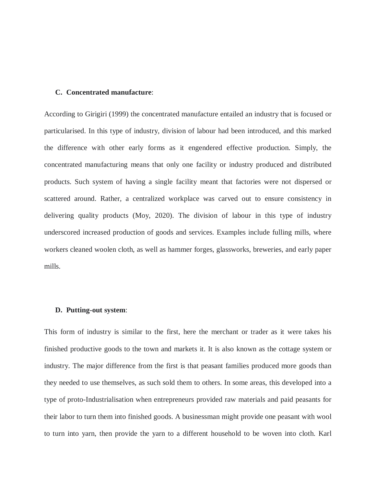### **C. Concentrated manufacture**:

According to Girigiri (1999) the concentrated manufacture entailed an industry that is focused or particularised. In this type of industry, division of labour had been introduced, and this marked the difference with other early forms as it engendered effective production. Simply, the concentrated manufacturing means that only one facility or industry produced and distributed products. Such system of having a single facility meant that factories were not dispersed or scattered around. Rather, a centralized workplace was carved out to ensure consistency in delivering quality products (Moy, 2020). The division of labour in this type of industry underscored increased production of goods and services. Examples include fulling mills, where workers cleaned woolen cloth, as well as hammer forges, glassworks, breweries, and early paper mills.

### **D. Putting-out system**:

This form of industry is similar to the first, here the merchant or trader as it were takes his finished productive goods to the town and markets it. It is also known as the cottage system or industry. The major difference from the first is that peasant families produced more goods than they needed to use themselves, as such sold them to others. In some areas, this developed into a type of proto-Industrialisation when entrepreneurs provided raw materials and paid peasants for their labor to turn them into finished goods. A businessman might provide one peasant with wool to turn into yarn, then provide the yarn to a different household to be woven into cloth. Karl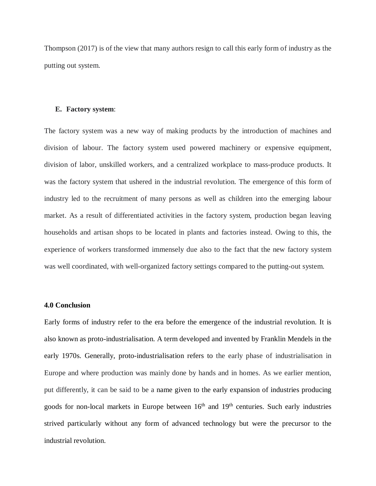Thompson (2017) is of the view that many authors resign to call this early form of industry as the putting out system.

### **E. Factory system**:

The factory system was a new way of making products by the introduction of machines and division of labour. The factory system used powered machinery or expensive equipment, division of labor, unskilled workers, and a centralized workplace to mass-produce products. It was the factory system that ushered in the industrial revolution. The emergence of this form of industry led to the recruitment of many persons as well as children into the emerging labour market. As a result of differentiated activities in the factory system, production began leaving households and artisan shops to be located in plants and factories instead. Owing to this, the experience of workers transformed immensely due also to the fact that the new factory system was well coordinated, with well-organized factory settings compared to the putting-out system.

### **4.0 Conclusion**

Early forms of industry refer to the era before the emergence of the industrial revolution. It is also known as proto-industrialisation. A term developed and invented by Franklin Mendels in the early 1970s. Generally, proto-industrialisation refers to the early phase of industrialisation in Europe and where production was mainly done by hands and in homes. As we earlier mention, put differently, it can be said to be a name given to the early expansion of industries producing goods for non-local markets in Europe between  $16<sup>th</sup>$  and  $19<sup>th</sup>$  centuries. Such early industries strived particularly without any form of advanced technology but were the precursor to the industrial revolution.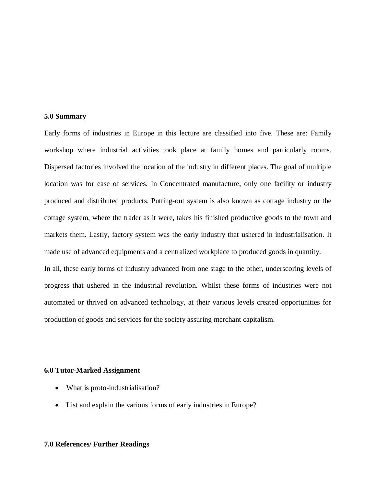### **5.0 Summary**

Early forms of industries in Europe in this lecture are classified into five. These are: Family workshop where industrial activities took place at family homes and particularly rooms. Dispersed factories involved the location of the industry in different places. The goal of multiple location was for ease of services. In Concentrated manufacture, only one facility or industry produced and distributed products. Putting-out system is also known as cottage industry or the cottage system, where the trader as it were, takes his finished productive goods to the town and markets them. Lastly, factory system was the early industry that ushered in industrialisation. It made use of advanced equipments and a centralized workplace to produced goods in quantity. In all, these early forms of industry advanced from one stage to the other, underscoring levels of progress that ushered in the industrial revolution. Whilst these forms of industries were not automated or thrived on advanced technology, at their various levels created opportunities for production of goods and services for the society assuring merchant capitalism.

#### **6.0 Tutor-Marked Assignment**

- What is proto-industrialisation?
- List and explain the various forms of early industries in Europe?

### **7.0 References/ Further Readings**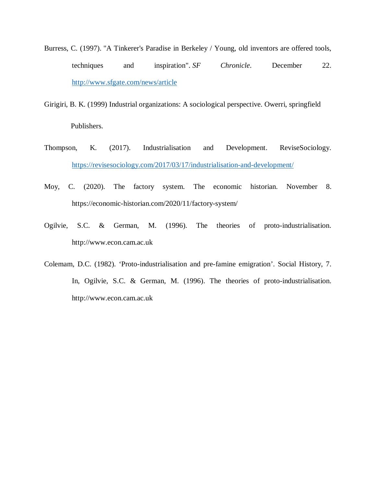- Burress, C. (1997). "A Tinkerer's Paradise in Berkeley / Young, old inventors are offered tools, techniques and inspiration". *SF Chronicle*. December 22. http://www.sfgate.com/news/article
- Girigiri, B. K. (1999) Industrial organizations: A sociological perspective. Owerri, springfield Publishers.
- Thompson, K. (2017). Industrialisation and Development. ReviseSociology. https://revisesociology.com/2017/03/17/industrialisation-and-development/
- Moy, C. (2020). The factory system. The economic historian. November 8. https://economic-historian.com/2020/11/factory-system/
- Ogilvie, S.C. & German, M. (1996). The theories of proto-industrialisation. http://www.econ.cam.ac.uk
- Colemam, D.C. (1982). 'Proto-industrialisation and pre-famine emigration'. Social History, 7. In, Ogilvie, S.C. & German, M. (1996). The theories of proto-industrialisation. http://www.econ.cam.ac.uk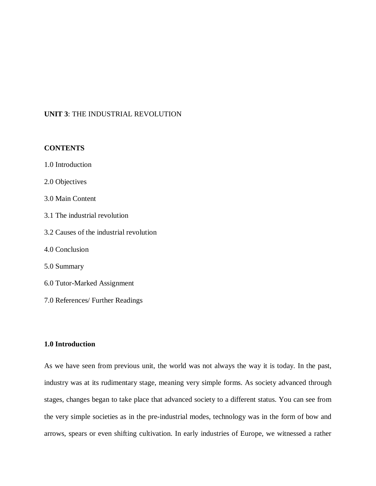### **UNIT 3**: THE INDUSTRIAL REVOLUTION

### **CONTENTS**

- 1.0 Introduction
- 2.0 Objectives
- 3.0 Main Content
- 3.1 The industrial revolution
- 3.2 Causes of the industrial revolution
- 4.0 Conclusion
- 5.0 Summary
- 6.0 Tutor-Marked Assignment
- 7.0 References/ Further Readings

### **1.0 Introduction**

As we have seen from previous unit, the world was not always the way it is today. In the past, industry was at its rudimentary stage, meaning very simple forms. As society advanced through stages, changes began to take place that advanced society to a different status. You can see from the very simple societies as in the pre-industrial modes, technology was in the form of bow and arrows, spears or even shifting cultivation. In early industries of Europe, we witnessed a rather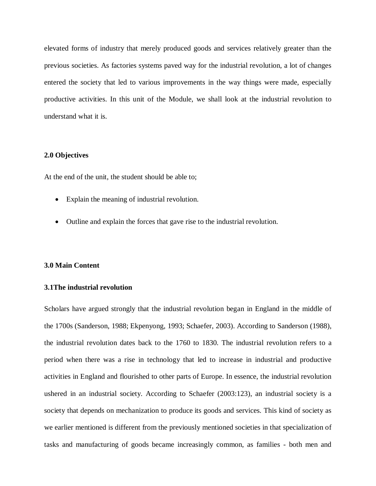elevated forms of industry that merely produced goods and services relatively greater than the previous societies. As factories systems paved way for the industrial revolution, a lot of changes entered the society that led to various improvements in the way things were made, especially productive activities. In this unit of the Module, we shall look at the industrial revolution to understand what it is.

### **2.0 Objectives**

At the end of the unit, the student should be able to;

- Explain the meaning of industrial revolution.
- Outline and explain the forces that gave rise to the industrial revolution.

#### **3.0 Main Content**

### **3.1The industrial revolution**

Scholars have argued strongly that the industrial revolution began in England in the middle of the 1700s (Sanderson, 1988; Ekpenyong, 1993; Schaefer, 2003). According to Sanderson (1988), the industrial revolution dates back to the 1760 to 1830. The industrial revolution refers to a period when there was a rise in technology that led to increase in industrial and productive activities in England and flourished to other parts of Europe. In essence, the industrial revolution ushered in an industrial society. According to Schaefer (2003:123), an industrial society is a society that depends on mechanization to produce its goods and services. This kind of society as we earlier mentioned is different from the previously mentioned societies in that specialization of tasks and manufacturing of goods became increasingly common, as families - both men and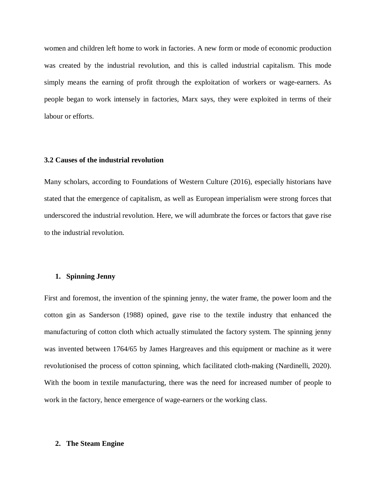women and children left home to work in factories. A new form or mode of economic production was created by the industrial revolution, and this is called industrial capitalism. This mode simply means the earning of profit through the exploitation of workers or wage-earners. As people began to work intensely in factories, Marx says, they were exploited in terms of their labour or efforts.

### **3.2 Causes of the industrial revolution**

Many scholars, according to Foundations of Western Culture (2016), especially historians have stated that the emergence of capitalism, as well as European imperialism were strong forces that underscored the industrial revolution. Here, we will adumbrate the forces or factors that gave rise to the industrial revolution.

### **1. Spinning Jenny**

First and foremost, the invention of the spinning jenny, the water frame, the power loom and the cotton gin as Sanderson (1988) opined, gave rise to the textile industry that enhanced the manufacturing of cotton cloth which actually stimulated the factory system. The spinning jenny was invented between 1764/65 by James Hargreaves and this equipment or machine as it were revolutionised the process of cotton spinning, which facilitated cloth-making (Nardinelli, 2020). With the boom in textile manufacturing, there was the need for increased number of people to work in the factory, hence emergence of wage-earners or the working class.

### **2. The Steam Engine**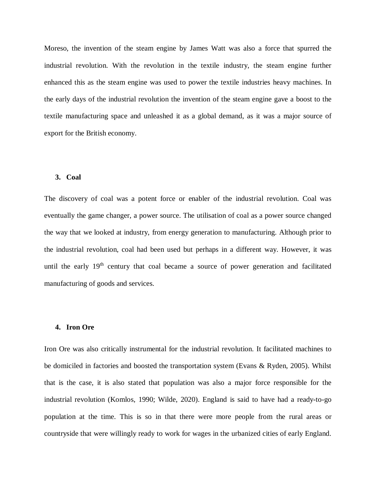Moreso, the invention of the steam engine by James Watt was also a force that spurred the industrial revolution. With the revolution in the textile industry, the steam engine further enhanced this as the steam engine was used to power the textile industries heavy machines. In the early days of the industrial revolution the invention of the steam engine gave a boost to the textile manufacturing space and unleashed it as a global demand, as it was a major source of export for the British economy.

### **3. Coal**

The discovery of coal was a potent force or enabler of the industrial revolution. Coal was eventually the game changer, a power source. The utilisation of coal as a power source changed the way that we looked at industry, from energy generation to manufacturing. Although prior to the industrial revolution, coal had been used but perhaps in a different way. However, it was until the early 19<sup>th</sup> century that coal became a source of power generation and facilitated manufacturing of goods and services.

### **4. Iron Ore**

Iron Ore was also critically instrumental for the industrial revolution. It facilitated machines to be domiciled in factories and boosted the transportation system (Evans & Ryden, 2005). Whilst that is the case, it is also stated that population was also a major force responsible for the industrial revolution (Komlos, 1990; Wilde, 2020). England is said to have had a ready-to-go population at the time. This is so in that there were more people from the rural areas or countryside that were willingly ready to work for wages in the urbanized cities of early England.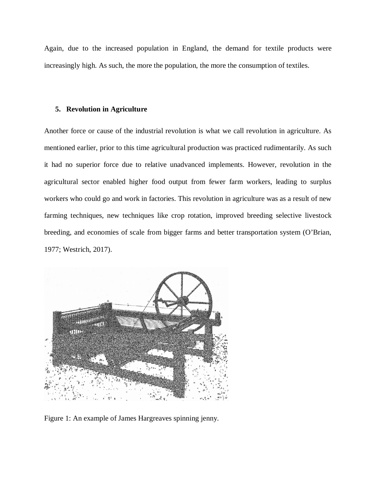Again, due to the increased population in England, the demand for textile products were increasingly high. As such, the more the population, the more the consumption of textiles.

#### **5. Revolution in Agriculture**

Another force or cause of the industrial revolution is what we call revolution in agriculture. As mentioned earlier, prior to this time agricultural production was practiced rudimentarily. As such it had no superior force due to relative unadvanced implements. However, revolution in the agricultural sector enabled higher food output from fewer farm workers, leading to surplus workers who could go and work in factories. This revolution in agriculture was as a result of new farming techniques, new techniques like crop rotation, improved breeding selective livestock breeding, and economies of scale from bigger farms and better transportation system (O'Brian, 1977; Westrich, 2017).



Figure 1: An example of James Hargreaves spinning jenny.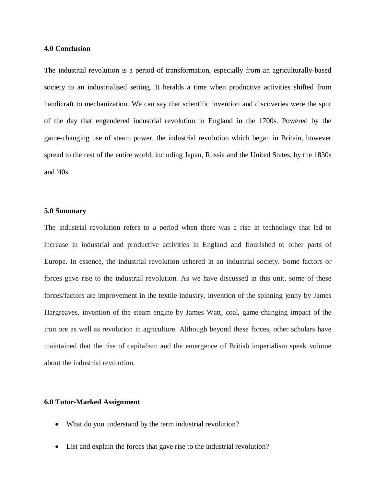### **4.0 Conclusion**

The industrial revolution is a period of transformation, especially from an agriculturally-based society to an industrialised setting. It heralds a time when productive activities shifted from handicraft to mechanization. We can say that scientific invention and discoveries were the spur of the day that engendered industrial revolution in England in the 1700s. Powered by the game-changing use of steam power, the industrial revolution which began in Britain, however spread to the rest of the entire world, including Japan, Russia and the United States, by the 1830s and '40s.

### **5.0 Summary**

The industrial revolution refers to a period when there was a rise in technology that led to increase in industrial and productive activities in England and flourished to other parts of Europe. In essence, the industrial revolution ushered in an industrial society. Some factors or forces gave rise to the industrial revolution. As we have discussed in this unit, some of these forces/factors are improvement in the textile industry, invention of the spinning jenny by James Hargreaves, invention of the steam engine by James Watt, coal, game-changing impact of the iron ore as well as revolution in agriculture. Although beyond these forces, other scholars have maintained that the rise of capitalism and the emergence of British imperialism speak volume about the industrial revolution.

### **6.0 Tutor-Marked Assignment**

- What do you understand by the term industrial revolution?
- List and explain the forces that gave rise to the industrial revolution?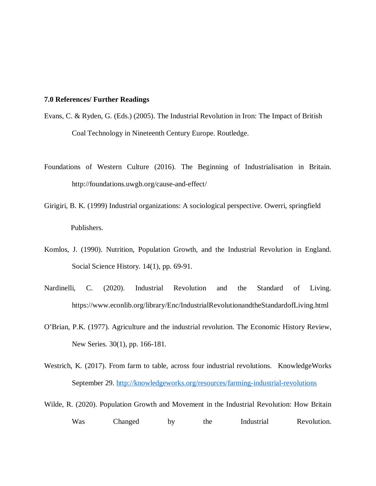### **7.0 References/ Further Readings**

- Evans, C. & Ryden, G. (Eds.) (2005). The Industrial Revolution in Iron: The Impact of British Coal Technology in Nineteenth Century Europe. Routledge.
- Foundations of Western Culture (2016). The Beginning of Industrialisation in Britain. http://foundations.uwgb.org/cause-and-effect/
- Girigiri, B. K. (1999) Industrial organizations: A sociological perspective. Owerri, springfield Publishers.
- Komlos, J. (1990). Nutrition, Population Growth, and the Industrial Revolution in England. Social Science History. 14(1), pp. 69-91.
- Nardinelli, C. (2020). Industrial Revolution and the Standard of Living. https://www.econlib.org/library/Enc/IndustrialRevolutionandtheStandardofLiving.html
- O'Brian, P.K. (1977). Agriculture and the industrial revolution. The Economic History Review, New Series. 30(1), pp. 166-181.
- Westrich, K. (2017). From farm to table, across four industrial revolutions. KnowledgeWorks September 29. http://knowledgeworks.org/resources/farming-industrial-revolutions
- Wilde, R. (2020). Population Growth and Movement in the Industrial Revolution: How Britain Was Changed by the Industrial Revolution.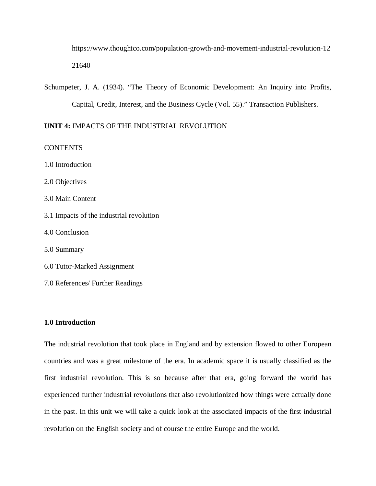https://www.thoughtco.com/population-growth-and-movement-industrial-revolution-12 21640

Schumpeter, J. A. (1934). "The Theory of Economic Development: An Inquiry into Profits, Capital, Credit, Interest, and the Business Cycle (Vol. 55)." Transaction Publishers.

**UNIT 4:** IMPACTS OF THE INDUSTRIAL REVOLUTION

**CONTENTS** 

1.0 Introduction

2.0 Objectives

3.0 Main Content

3.1 Impacts of the industrial revolution

4.0 Conclusion

5.0 Summary

6.0 Tutor-Marked Assignment

7.0 References/ Further Readings

### **1.0 Introduction**

The industrial revolution that took place in England and by extension flowed to other European countries and was a great milestone of the era. In academic space it is usually classified as the first industrial revolution. This is so because after that era, going forward the world has experienced further industrial revolutions that also revolutionized how things were actually done in the past. In this unit we will take a quick look at the associated impacts of the first industrial revolution on the English society and of course the entire Europe and the world.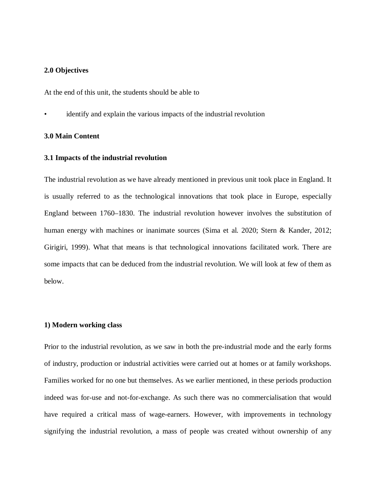### **2.0 Objectives**

At the end of this unit, the students should be able to

identify and explain the various impacts of the industrial revolution

### **3.0 Main Content**

#### **3.1 Impacts of the industrial revolution**

The industrial revolution as we have already mentioned in previous unit took place in England. It is usually referred to as the technological innovations that took place in Europe, especially England between 1760–1830. The industrial revolution however involves the substitution of human energy with machines or inanimate sources (Sima et al. 2020; Stern & Kander, 2012; Girigiri, 1999). What that means is that technological innovations facilitated work. There are some impacts that can be deduced from the industrial revolution. We will look at few of them as below.

### **1) Modern working class**

Prior to the industrial revolution, as we saw in both the pre-industrial mode and the early forms of industry, production or industrial activities were carried out at homes or at family workshops. Families worked for no one but themselves. As we earlier mentioned, in these periods production indeed was for-use and not-for-exchange. As such there was no commercialisation that would have required a critical mass of wage-earners. However, with improvements in technology signifying the industrial revolution, a mass of people was created without ownership of any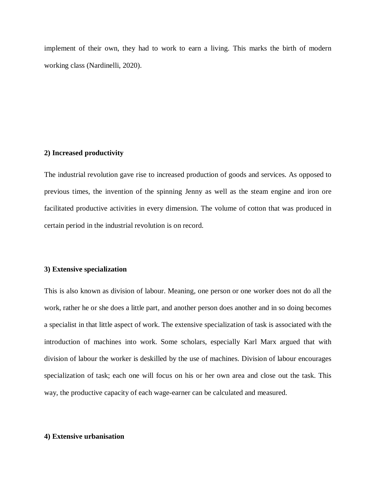implement of their own, they had to work to earn a living. This marks the birth of modern working class (Nardinelli, 2020).

### **2) Increased productivity**

The industrial revolution gave rise to increased production of goods and services. As opposed to previous times, the invention of the spinning Jenny as well as the steam engine and iron ore facilitated productive activities in every dimension. The volume of cotton that was produced in certain period in the industrial revolution is on record.

#### **3) Extensive specialization**

This is also known as division of labour. Meaning, one person or one worker does not do all the work, rather he or she does a little part, and another person does another and in so doing becomes a specialist in that little aspect of work. The extensive specialization of task is associated with the introduction of machines into work. Some scholars, especially Karl Marx argued that with division of labour the worker is deskilled by the use of machines. Division of labour encourages specialization of task; each one will focus on his or her own area and close out the task. This way, the productive capacity of each wage-earner can be calculated and measured.

### **4) Extensive urbanisation**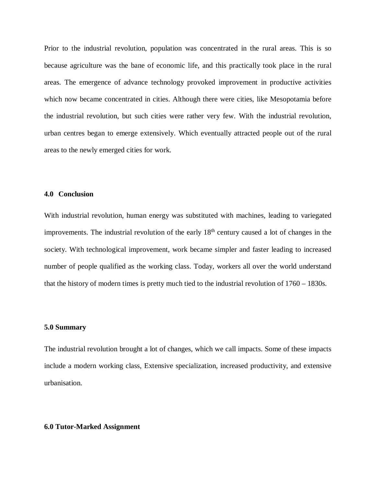Prior to the industrial revolution, population was concentrated in the rural areas. This is so because agriculture was the bane of economic life, and this practically took place in the rural areas. The emergence of advance technology provoked improvement in productive activities which now became concentrated in cities. Although there were cities, like Mesopotamia before the industrial revolution, but such cities were rather very few. With the industrial revolution, urban centres began to emerge extensively. Which eventually attracted people out of the rural areas to the newly emerged cities for work.

### **4.0 Conclusion**

With industrial revolution, human energy was substituted with machines, leading to variegated improvements. The industrial revolution of the early  $18<sup>th</sup>$  century caused a lot of changes in the society. With technological improvement, work became simpler and faster leading to increased number of people qualified as the working class. Today, workers all over the world understand that the history of modern times is pretty much tied to the industrial revolution of 1760 – 1830s.

### **5.0 Summary**

The industrial revolution brought a lot of changes, which we call impacts. Some of these impacts include a modern working class, Extensive specialization, increased productivity, and extensive urbanisation.

### **6.0 Tutor-Marked Assignment**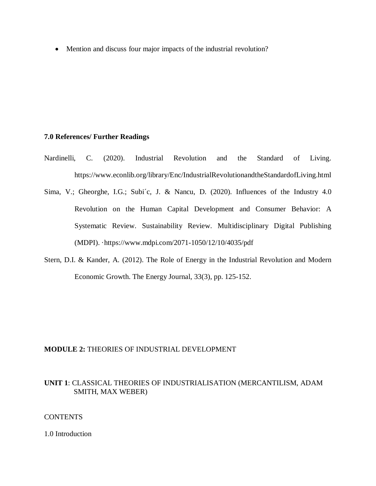• Mention and discuss four major impacts of the industrial revolution?

### **7.0 References/ Further Readings**

- Nardinelli, C. (2020). Industrial Revolution and the Standard of Living. https://www.econlib.org/library/Enc/IndustrialRevolutionandtheStandardofLiving.html
- Sima, V.; Gheorghe, I.G.; Subi´c, J. & Nancu, D. (2020). Influences of the Industry 4.0 Revolution on the Human Capital Development and Consumer Behavior: A Systematic Review. Sustainability Review. Multidisciplinary Digital Publishing (MDPI). ·https://www.mdpi.com/2071-1050/12/10/4035/pdf
- Stern, D.I. & Kander, A. (2012). The Role of Energy in the Industrial Revolution and Modern Economic Growth. The Energy Journal, 33(3), pp. 125-152.

### **MODULE 2:** THEORIES OF INDUSTRIAL DEVELOPMENT

## **UNIT 1**: CLASSICAL THEORIES OF INDUSTRIALISATION (MERCANTILISM, ADAM SMITH, MAX WEBER)

### **CONTENTS**

1.0 Introduction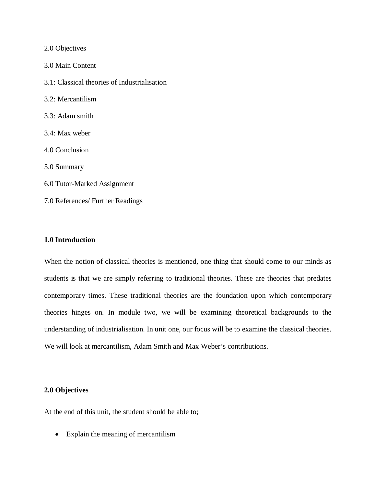| 2.0 Objectives                               |
|----------------------------------------------|
| 3.0 Main Content                             |
| 3.1: Classical theories of Industrialisation |

3.2: Mercantilism

- 3.3: Adam smith
- 3.4: Max weber
- 4.0 Conclusion
- 5.0 Summary
- 6.0 Tutor-Marked Assignment
- 7.0 References/ Further Readings

### **1.0 Introduction**

When the notion of classical theories is mentioned, one thing that should come to our minds as students is that we are simply referring to traditional theories. These are theories that predates contemporary times. These traditional theories are the foundation upon which contemporary theories hinges on. In module two, we will be examining theoretical backgrounds to the understanding of industrialisation. In unit one, our focus will be to examine the classical theories. We will look at mercantilism, Adam Smith and Max Weber's contributions.

### **2.0 Objectives**

At the end of this unit, the student should be able to;

• Explain the meaning of mercantilism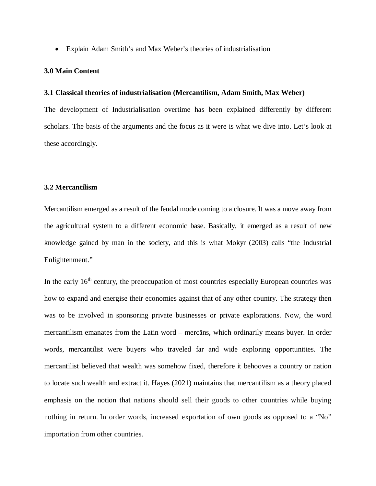Explain Adam Smith's and Max Weber's theories of industrialisation

### **3.0 Main Content**

### **3.1 Classical theories of industrialisation (Mercantilism, Adam Smith, Max Weber)**

The development of Industrialisation overtime has been explained differently by different scholars. The basis of the arguments and the focus as it were is what we dive into. Let's look at these accordingly.

### **3.2 Mercantilism**

Mercantilism emerged as a result of the feudal mode coming to a closure. It was a move away from the agricultural system to a different economic base. Basically, it emerged as a result of new knowledge gained by man in the society, and this is what Mokyr (2003) calls "the Industrial Enlightenment."

In the early  $16<sup>th</sup>$  century, the preoccupation of most countries especially European countries was how to expand and energise their economies against that of any other country. The strategy then was to be involved in sponsoring private businesses or private explorations. Now, the word mercantilism emanates from the Latin word – mercāns, which ordinarily means buyer. In order words, mercantilist were buyers who traveled far and wide exploring opportunities. The mercantilist believed that wealth was somehow fixed, therefore it behooves a country or nation to locate such wealth and extract it. Hayes (2021) maintains that mercantilism as a theory placed emphasis on the notion that nations should sell their goods to other countries while buying nothing in return. In order words, increased exportation of own goods as opposed to a "No" importation from other countries.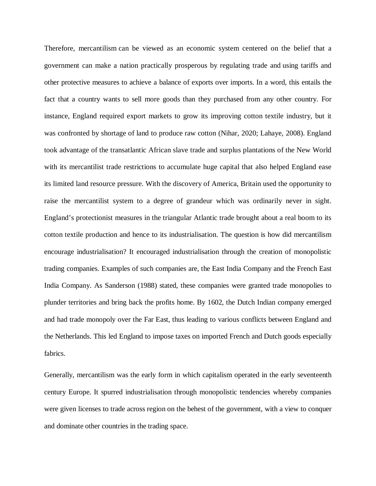Therefore, mercantilism can be viewed as an economic system centered on the belief that a government can make a nation practically prosperous by regulating trade and using tariffs and other protective measures to achieve a balance of exports over imports. In a word, this entails the fact that a country wants to sell more goods than they purchased from any other country. For instance, England required export markets to grow its improving cotton textile industry, but it was confronted by shortage of land to produce raw cotton (Nihar, 2020; Lahaye, 2008). England took advantage of the transatlantic African slave trade and surplus plantations of the New World with its mercantilist trade restrictions to accumulate huge capital that also helped England ease its limited land resource pressure. With the discovery of America, Britain used the opportunity to raise the mercantilist system to a degree of grandeur which was ordinarily never in sight. England's protectionist measures in the triangular Atlantic trade brought about a real boom to its cotton textile production and hence to its industrialisation. The question is how did mercantilism encourage industrialisation? It encouraged industrialisation through the creation of monopolistic trading companies. Examples of such companies are, the East India Company and the French East India Company. As Sanderson (1988) stated, these companies were granted trade monopolies to plunder territories and bring back the profits home. By 1602, the Dutch Indian company emerged and had trade monopoly over the Far East, thus leading to various conflicts between England and the Netherlands. This led England to impose taxes on imported French and Dutch goods especially fabrics.

Generally, mercantilism was the early form in which capitalism operated in the early seventeenth century Europe. It spurred industrialisation through monopolistic tendencies whereby companies were given licenses to trade across region on the behest of the government, with a view to conquer and dominate other countries in the trading space.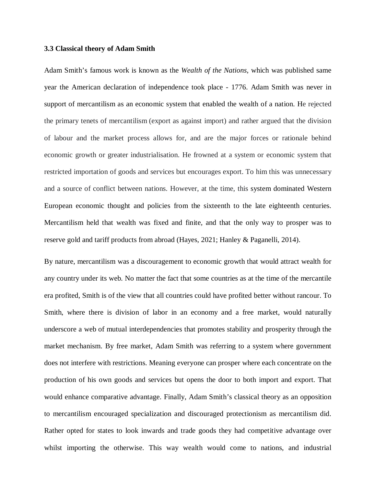#### **3.3 Classical theory of Adam Smith**

Adam Smith's famous work is known as the *Wealth of the Nations*, which was published same year the American declaration of independence took place - 1776. Adam Smith was never in support of mercantilism as an economic system that enabled the wealth of a nation. He rejected the primary tenets of mercantilism (export as against import) and rather argued that the division of labour and the market process allows for, and are the major forces or rationale behind economic growth or greater industrialisation. He frowned at a system or economic system that restricted importation of goods and services but encourages export. To him this was unnecessary and a source of conflict between nations. However, at the time, this system dominated Western European economic thought and policies from the sixteenth to the late eighteenth centuries. Mercantilism held that wealth was fixed and finite, and that the only way to prosper was to reserve gold and tariff products from abroad (Hayes, 2021; Hanley & Paganelli, 2014).

By nature, mercantilism was a discouragement to economic growth that would attract wealth for any country under its web. No matter the fact that some countries as at the time of the mercantile era profited, Smith is of the view that all countries could have profited better without rancour. To Smith, where there is division of labor in an economy and a free market, would naturally underscore a web of mutual interdependencies that promotes stability and prosperity through the market mechanism. By free market, Adam Smith was referring to a system where government does not interfere with restrictions. Meaning everyone can prosper where each concentrate on the production of his own goods and services but opens the door to both import and export. That would enhance comparative advantage. Finally, Adam Smith's classical theory as an opposition to mercantilism encouraged specialization and discouraged protectionism as mercantilism did. Rather opted for states to look inwards and trade goods they had competitive advantage over whilst importing the otherwise. This way wealth would come to nations, and industrial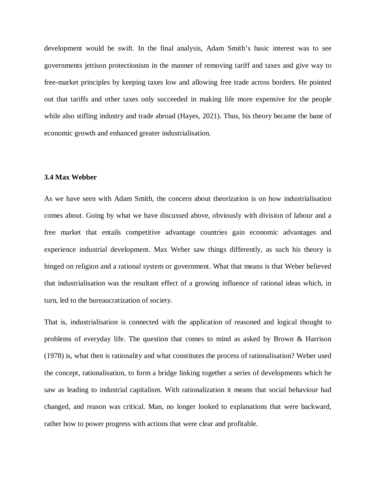development would be swift. In the final analysis, Adam Smith's basic interest was to see governments jettison protectionism in the manner of removing tariff and taxes and give way to free-market principles by keeping taxes low and allowing free trade across borders. He pointed out that tariffs and other taxes only succeeded in making life more expensive for the people while also stifling industry and trade abroad (Hayes, 2021). Thus, his theory became the bane of economic growth and enhanced greater industrialisation.

### **3.4 Max Webber**

As we have seen with Adam Smith, the concern about theorization is on how industrialisation comes about. Going by what we have discussed above, obviously with division of labour and a free market that entails competitive advantage countries gain economic advantages and experience industrial development. Max Weber saw things differently, as such his theory is hinged on religion and a rational system or government. What that means is that Weber believed that industrialisation was the resultant effect of a growing influence of rational ideas which, in turn, led to the bureaucratization of society.

That is, industrialisation is connected with the application of reasoned and logical thought to problems of everyday life. The question that comes to mind as asked by Brown & Harrison (1978) is, what then is rationality and what constitutes the process of rationalisation? Weber used the concept, rationalisation, to form a bridge linking together a series of developments which he saw as leading to industrial capitalism. With rationalization it means that social behaviour had changed, and reason was critical. Man, no longer looked to explanations that were backward, rather how to power progress with actions that were clear and profitable.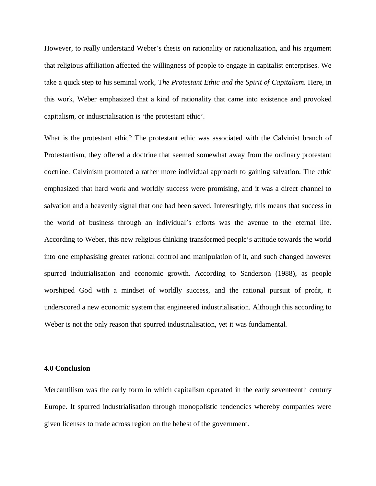However, to really understand Weber's thesis on rationality or rationalization, and his argument that religious affiliation affected the willingness of people to engage in capitalist enterprises. We take a quick step to his seminal work, T*he Protestant Ethic and the Spirit of Capitalism.* Here, in this work, Weber emphasized that a kind of rationality that came into existence and provoked capitalism, or industrialisation is 'the protestant ethic'.

What is the protestant ethic? The protestant ethic was associated with the Calvinist branch of Protestantism, they offered a doctrine that seemed somewhat away from the ordinary protestant doctrine. Calvinism promoted a rather more individual approach to gaining salvation. The ethic emphasized that hard work and worldly success were promising, and it was a direct channel to salvation and a heavenly signal that one had been saved. Interestingly, this means that success in the world of business through an individual's efforts was the avenue to the eternal life. According to Weber, this new religious thinking transformed people's attitude towards the world into one emphasising greater rational control and manipulation of it, and such changed however spurred indutrialisation and economic growth. According to Sanderson (1988), as people worshiped God with a mindset of worldly success, and the rational pursuit of profit, it underscored a new economic system that engineered industrialisation. Although this according to Weber is not the only reason that spurred industrialisation, yet it was fundamental.

### **4.0 Conclusion**

Mercantilism was the early form in which capitalism operated in the early seventeenth century Europe. It spurred industrialisation through monopolistic tendencies whereby companies were given licenses to trade across region on the behest of the government.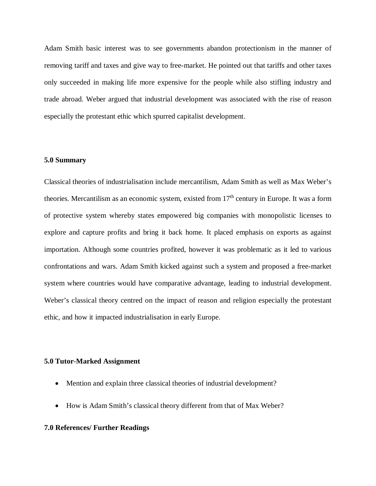Adam Smith basic interest was to see governments abandon protectionism in the manner of removing tariff and taxes and give way to free-market. He pointed out that tariffs and other taxes only succeeded in making life more expensive for the people while also stifling industry and trade abroad. Weber argued that industrial development was associated with the rise of reason especially the protestant ethic which spurred capitalist development.

### **5.0 Summary**

Classical theories of industrialisation include mercantilism, Adam Smith as well as Max Weber's theories. Mercantilism as an economic system, existed from  $17<sup>th</sup>$  century in Europe. It was a form of protective system whereby states empowered big companies with monopolistic licenses to explore and capture profits and bring it back home. It placed emphasis on exports as against importation. Although some countries profited, however it was problematic as it led to various confrontations and wars. Adam Smith kicked against such a system and proposed a free-market system where countries would have comparative advantage, leading to industrial development. Weber's classical theory centred on the impact of reason and religion especially the protestant ethic, and how it impacted industrialisation in early Europe.

### **5.0 Tutor-Marked Assignment**

- Mention and explain three classical theories of industrial development?
- How is Adam Smith's classical theory different from that of Max Weber?

### **7.0 References/ Further Readings**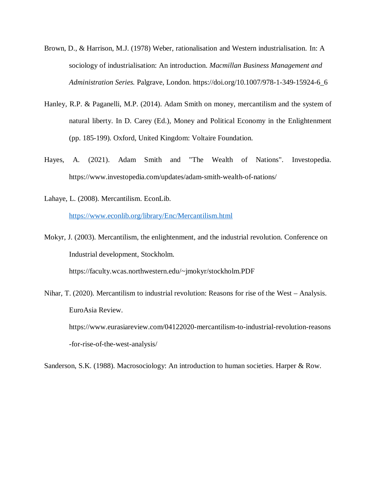- Brown, D., & Harrison, M.J. (1978) Weber, rationalisation and Western industrialisation. In: A sociology of industrialisation: An introduction. *Macmillan Business Management and Administration Series.* Palgrave, London. https://doi.org/10.1007/978-1-349-15924-6\_6
- Hanley, R.P. & Paganelli, M.P. (2014). Adam Smith on money, mercantilism and the system of natural liberty. In D. Carey (Ed.), Money and Political Economy in the Enlightenment (pp. 185-199). Oxford, United Kingdom: Voltaire Foundation.
- Hayes, A. (2021). Adam Smith and "The Wealth of Nations". Investopedia. https://www.investopedia.com/updates/adam-smith-wealth-of-nations/
- Lahaye, L. (2008). Mercantilism. EconLib. https://www.econlib.org/library/Enc/Mercantilism.html

Mokyr, J. (2003). Mercantilism, the enlightenment, and the industrial revolution. Conference on Industrial development, Stockholm. https://faculty.wcas.northwestern.edu/~jmokyr/stockholm.PDF

Nihar, T. (2020). Mercantilism to industrial revolution: Reasons for rise of the West – Analysis. EuroAsia Review. https://www.eurasiareview.com/04122020-mercantilism-to-industrial-revolution-reasons -for-rise-of-the-west-analysis/

Sanderson, S.K. (1988). Macrosociology: An introduction to human societies. Harper & Row.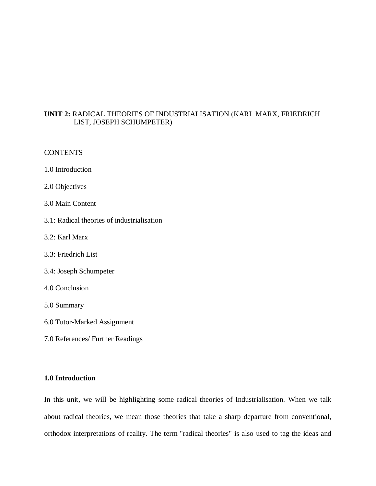# **UNIT 2:** RADICAL THEORIES OF INDUSTRIALISATION (KARL MARX, FRIEDRICH LIST, JOSEPH SCHUMPETER)

## **CONTENTS**

- 1.0 Introduction
- 2.0 Objectives
- 3.0 Main Content
- 3.1: Radical theories of industrialisation
- 3.2: Karl Marx
- 3.3: Friedrich List
- 3.4: Joseph Schumpeter
- 4.0 Conclusion
- 5.0 Summary
- 6.0 Tutor-Marked Assignment
- 7.0 References/ Further Readings

# **1.0 Introduction**

In this unit, we will be highlighting some radical theories of Industrialisation. When we talk about radical theories, we mean those theories that take a sharp departure from conventional, orthodox interpretations of reality. The term "radical theories" is also used to tag the ideas and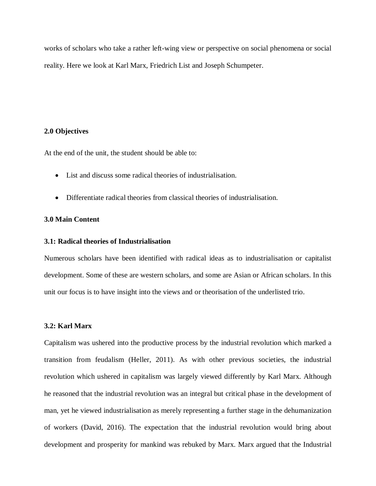works of scholars who take a rather left-wing view or perspective on social phenomena or social reality. Here we look at Karl Marx, Friedrich List and Joseph Schumpeter.

## **2.0 Objectives**

At the end of the unit, the student should be able to:

- List and discuss some radical theories of industrialisation.
- Differentiate radical theories from classical theories of industrialisation.

## **3.0 Main Content**

## **3.1: Radical theories of Industrialisation**

Numerous scholars have been identified with radical ideas as to industrialisation or capitalist development. Some of these are western scholars, and some are Asian or African scholars. In this unit our focus is to have insight into the views and or theorisation of the underlisted trio.

## **3.2: Karl Marx**

Capitalism was ushered into the productive process by the industrial revolution which marked a transition from feudalism (Heller, 2011). As with other previous societies, the industrial revolution which ushered in capitalism was largely viewed differently by Karl Marx. Although he reasoned that the industrial revolution was an integral but critical phase in the development of man, yet he viewed industrialisation as merely representing a further stage in the dehumanization of workers (David, 2016). The expectation that the industrial revolution would bring about development and prosperity for mankind was rebuked by Marx. Marx argued that the Industrial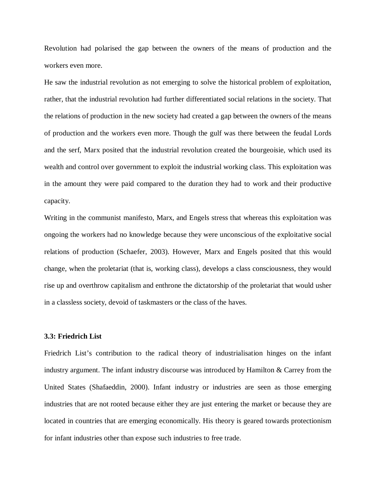Revolution had polarised the gap between the owners of the means of production and the workers even more.

He saw the industrial revolution as not emerging to solve the historical problem of exploitation, rather, that the industrial revolution had further differentiated social relations in the society. That the relations of production in the new society had created a gap between the owners of the means of production and the workers even more. Though the gulf was there between the feudal Lords and the serf, Marx posited that the industrial revolution created the bourgeoisie, which used its wealth and control over government to exploit the industrial working class. This exploitation was in the amount they were paid compared to the duration they had to work and their productive capacity.

Writing in the communist manifesto, Marx, and Engels stress that whereas this exploitation was ongoing the workers had no knowledge because they were unconscious of the exploitative social relations of production (Schaefer, 2003). However, Marx and Engels posited that this would change, when the proletariat (that is, working class), develops a class consciousness, they would rise up and overthrow capitalism and enthrone the dictatorship of the proletariat that would usher in a classless society, devoid of taskmasters or the class of the haves.

## **3.3: Friedrich List**

Friedrich List's contribution to the radical theory of industrialisation hinges on the infant industry argument. The infant industry discourse was introduced by Hamilton & Carrey from the United States (Shafaeddin, 2000). Infant industry or industries are seen as those emerging industries that are not rooted because either they are just entering the market or because they are located in countries that are emerging economically. His theory is geared towards protectionism for infant industries other than expose such industries to free trade.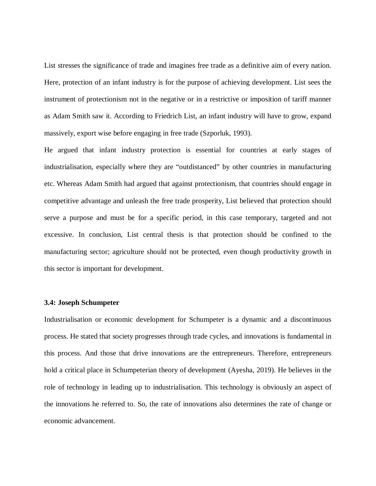List stresses the significance of trade and imagines free trade as a definitive aim of every nation. Here, protection of an infant industry is for the purpose of achieving development. List sees the instrument of protectionism not in the negative or in a restrictive or imposition of tariff manner as Adam Smith saw it. According to Friedrich List, an infant industry will have to grow, expand massively, export wise before engaging in free trade (Szporluk, 1993).

He argued that infant industry protection is essential for countries at early stages of industrialisation, especially where they are "outdistanced" by other countries in manufacturing etc. Whereas Adam Smith had argued that against protectionism, that countries should engage in competitive advantage and unleash the free trade prosperity, List believed that protection should serve a purpose and must be for a specific period, in this case temporary, targeted and not excessive. In conclusion, List central thesis is that protection should be confined to the manufacturing sector; agriculture should not be protected, even though productivity growth in this sector is important for development.

#### **3.4: Joseph Schumpeter**

Industrialisation or economic development for Schumpeter is a dynamic and a discontinuous process. He stated that society progresses through trade cycles, and innovations is fundamental in this process. And those that drive innovations are the entrepreneurs. Therefore, entrepreneurs hold a critical place in Schumpeterian theory of development (Ayesha, 2019). He believes in the role of technology in leading up to industrialisation. This technology is obviously an aspect of the innovations he referred to. So, the rate of innovations also determines the rate of change or economic advancement.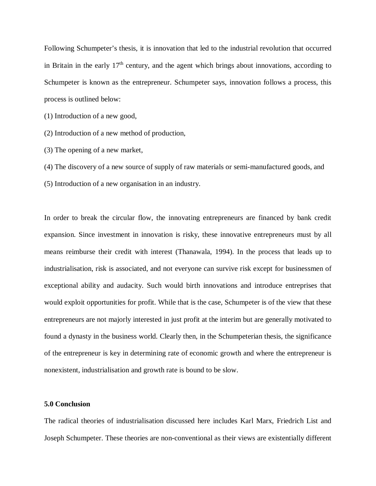Following Schumpeter's thesis, it is innovation that led to the industrial revolution that occurred in Britain in the early  $17<sup>th</sup>$  century, and the agent which brings about innovations, according to Schumpeter is known as the entrepreneur. Schumpeter says, innovation follows a process, this process is outlined below:

(1) Introduction of a new good,

(2) Introduction of a new method of production,

(3) The opening of a new market,

(4) The discovery of a new source of supply of raw materials or semi-manufactured goods, and

(5) Introduction of a new organisation in an industry.

In order to break the circular flow, the innovating entrepreneurs are financed by bank credit expansion. Since investment in innovation is risky, these innovative entrepreneurs must by all means reimburse their credit with interest (Thanawala, 1994). In the process that leads up to industrialisation, risk is associated, and not everyone can survive risk except for businessmen of exceptional ability and audacity. Such would birth innovations and introduce entreprises that would exploit opportunities for profit. While that is the case, Schumpeter is of the view that these entrepreneurs are not majorly interested in just profit at the interim but are generally motivated to found a dynasty in the business world. Clearly then, in the Schumpeterian thesis, the significance of the entrepreneur is key in determining rate of economic growth and where the entrepreneur is nonexistent, industrialisation and growth rate is bound to be slow.

## **5.0 Conclusion**

The radical theories of industrialisation discussed here includes Karl Marx, Friedrich List and Joseph Schumpeter. These theories are non-conventional as their views are existentially different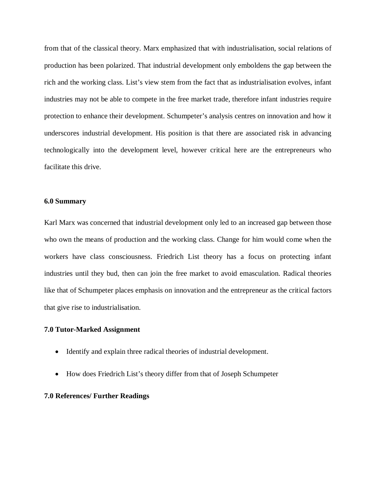from that of the classical theory. Marx emphasized that with industrialisation, social relations of production has been polarized. That industrial development only emboldens the gap between the rich and the working class. List's view stem from the fact that as industrialisation evolves, infant industries may not be able to compete in the free market trade, therefore infant industries require protection to enhance their development. Schumpeter's analysis centres on innovation and how it underscores industrial development. His position is that there are associated risk in advancing technologically into the development level, however critical here are the entrepreneurs who facilitate this drive.

#### **6.0 Summary**

Karl Marx was concerned that industrial development only led to an increased gap between those who own the means of production and the working class. Change for him would come when the workers have class consciousness. Friedrich List theory has a focus on protecting infant industries until they bud, then can join the free market to avoid emasculation. Radical theories like that of Schumpeter places emphasis on innovation and the entrepreneur as the critical factors that give rise to industrialisation.

#### **7.0 Tutor-Marked Assignment**

- Identify and explain three radical theories of industrial development.
- How does Friedrich List's theory differ from that of Joseph Schumpeter

## **7.0 References/ Further Readings**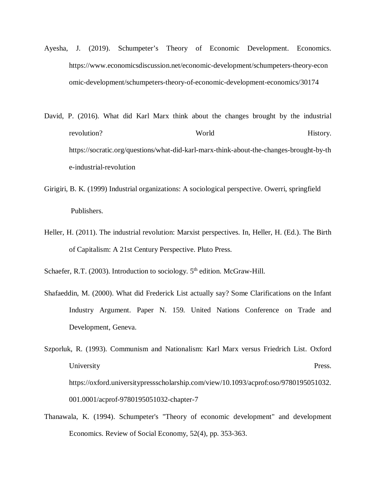- Ayesha, J. (2019). Schumpeter's Theory of Economic Development. Economics. https://www.economicsdiscussion.net/economic-development/schumpeters-theory-econ omic-development/schumpeters-theory-of-economic-development-economics/30174
- David, P. (2016). What did Karl Marx think about the changes brought by the industrial revolution? World History. https://socratic.org/questions/what-did-karl-marx-think-about-the-changes-brought-by-th e-industrial-revolution
- Girigiri, B. K. (1999) Industrial organizations: A sociological perspective. Owerri, springfield Publishers.
- Heller, H. (2011). The industrial revolution: Marxist perspectives. In, Heller, H. (Ed.). The Birth of Capitalism: A 21st Century Perspective. Pluto Press.

Schaefer, R.T. (2003). Introduction to sociology. 5<sup>th</sup> edition. McGraw-Hill.

- Shafaeddin, M. (2000). What did Frederick List actually say? Some Clarifications on the Infant Industry Argument. Paper N. 159. United Nations Conference on Trade and Development, Geneva.
- Szporluk, R. (1993). Communism and Nationalism: Karl Marx versus Friedrich List. Oxford University Press. https://oxford.universitypressscholarship.com/view/10.1093/acprof:oso/9780195051032. 001.0001/acprof-9780195051032-chapter-7
- Thanawala, K. (1994). Schumpeter's "Theory of economic development" and development Economics. Review of Social Economy, 52(4), pp. 353-363.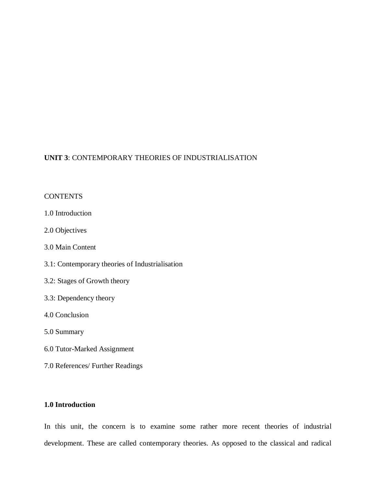# **UNIT 3**: CONTEMPORARY THEORIES OF INDUSTRIALISATION

# **CONTENTS**

- 1.0 Introduction
- 2.0 Objectives
- 3.0 Main Content
- 3.1: Contemporary theories of Industrialisation
- 3.2: Stages of Growth theory
- 3.3: Dependency theory
- 4.0 Conclusion
- 5.0 Summary
- 6.0 Tutor-Marked Assignment
- 7.0 References/ Further Readings

# **1.0 Introduction**

In this unit, the concern is to examine some rather more recent theories of industrial development. These are called contemporary theories. As opposed to the classical and radical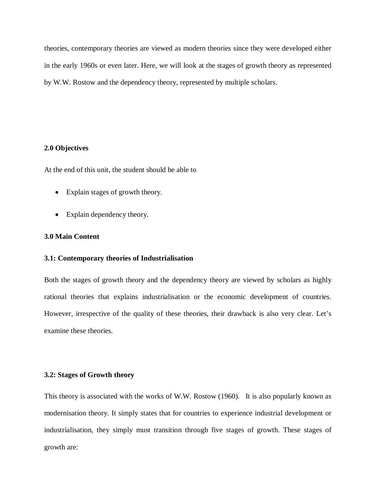theories, contemporary theories are viewed as modern theories since they were developed either in the early 1960s or even later. Here, we will look at the stages of growth theory as represented by W.W. Rostow and the dependency theory, represented by multiple scholars.

## **2.0 Objectives**

At the end of this unit, the student should be able to

- Explain stages of growth theory.
- Explain dependency theory.

# **3.0 Main Content**

### **3.1: Contemporary theories of Industrialisation**

Both the stages of growth theory and the dependency theory are viewed by scholars as highly rational theories that explains industrialisation or the economic development of countries. However, irrespective of the quality of these theories, their drawback is also very clear. Let's examine these theories.

## **3.2: Stages of Growth theory**

This theory is associated with the works of W.W. Rostow (1960). It is also popularly known as modernisation theory. It simply states that for countries to experience industrial development or industrialisation, they simply must transition through five stages of growth. These stages of growth are: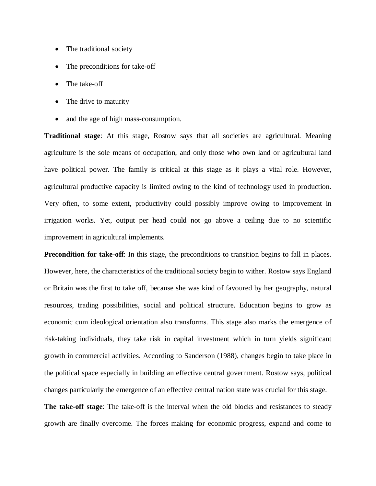- The traditional society
- The preconditions for take-off
- The take-off
- The drive to maturity
- and the age of high mass-consumption.

**Traditional stage**: At this stage, Rostow says that all societies are agricultural. Meaning agriculture is the sole means of occupation, and only those who own land or agricultural land have political power. The family is critical at this stage as it plays a vital role. However, agricultural productive capacity is limited owing to the kind of technology used in production. Very often, to some extent, productivity could possibly improve owing to improvement in irrigation works. Yet, output per head could not go above a ceiling due to no scientific improvement in agricultural implements.

**Precondition for take-off**: In this stage, the preconditions to transition begins to fall in places. However, here, the characteristics of the traditional society begin to wither. Rostow says England or Britain was the first to take off, because she was kind of favoured by her geography, natural resources, trading possibilities, social and political structure. Education begins to grow as economic cum ideological orientation also transforms. This stage also marks the emergence of risk-taking individuals, they take risk in capital investment which in turn yields significant growth in commercial activities. According to Sanderson (1988), changes begin to take place in the political space especially in building an effective central government. Rostow says, political changes particularly the emergence of an effective central nation state was crucial for this stage.

**The take-off stage**: The take-off is the interval when the old blocks and resistances to steady growth are finally overcome. The forces making for economic progress, expand and come to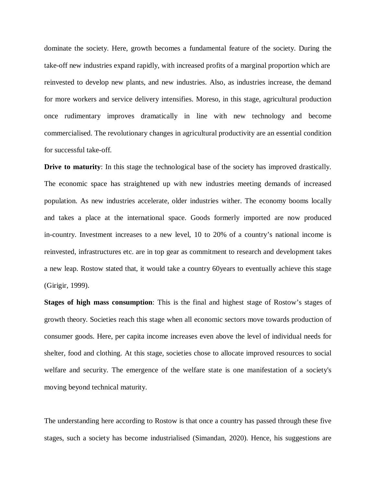dominate the society. Here, growth becomes a fundamental feature of the society. During the take-off new industries expand rapidly, with increased profits of a marginal proportion which are reinvested to develop new plants, and new industries. Also, as industries increase, the demand for more workers and service delivery intensifies. Moreso, in this stage, agricultural production once rudimentary improves dramatically in line with new technology and become commercialised. The revolutionary changes in agricultural productivity are an essential condition for successful take-off.

**Drive to maturity**: In this stage the technological base of the society has improved drastically. The economic space has straightened up with new industries meeting demands of increased population. As new industries accelerate, older industries wither. The economy booms locally and takes a place at the international space. Goods formerly imported are now produced in-country. Investment increases to a new level, 10 to 20% of a country's national income is reinvested, infrastructures etc. are in top gear as commitment to research and development takes a new leap. Rostow stated that, it would take a country 60years to eventually achieve this stage (Girigir, 1999).

**Stages of high mass consumption**: This is the final and highest stage of Rostow's stages of growth theory. Societies reach this stage when all economic sectors move towards production of consumer goods. Here, per capita income increases even above the level of individual needs for shelter, food and clothing. At this stage, societies chose to allocate improved resources to social welfare and security. The emergence of the welfare state is one manifestation of a society's moving beyond technical maturity.

The understanding here according to Rostow is that once a country has passed through these five stages, such a society has become industrialised (Simandan, 2020). Hence, his suggestions are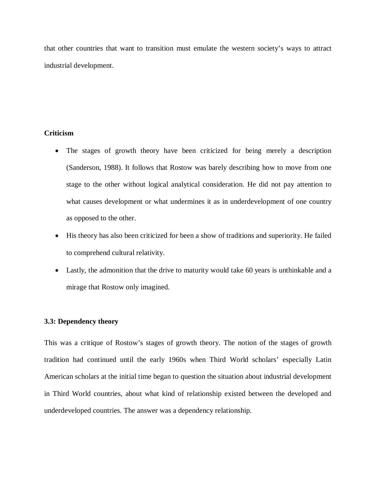that other countries that want to transition must emulate the western society's ways to attract industrial development.

# **Criticism**

- The stages of growth theory have been criticized for being merely a description (Sanderson, 1988). It follows that Rostow was barely describing how to move from one stage to the other without logical analytical consideration. He did not pay attention to what causes development or what undermines it as in underdevelopment of one country as opposed to the other.
- His theory has also been criticized for been a show of traditions and superiority. He failed to comprehend cultural relativity.
- Lastly, the admonition that the drive to maturity would take 60 years is unthinkable and a mirage that Rostow only imagined.

## **3.3: Dependency theory**

This was a critique of Rostow's stages of growth theory. The notion of the stages of growth tradition had continued until the early 1960s when Third World scholars' especially Latin American scholars at the initial time began to question the situation about industrial development in Third World countries, about what kind of relationship existed between the developed and underdeveloped countries. The answer was a dependency relationship.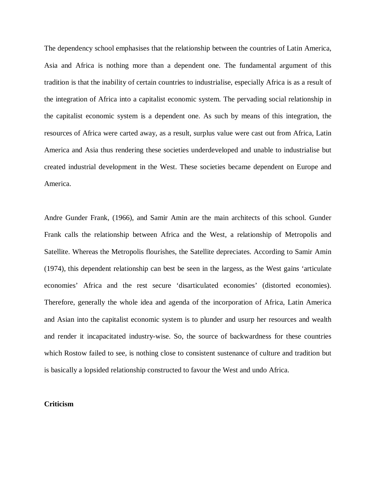The dependency school emphasises that the relationship between the countries of Latin America, Asia and Africa is nothing more than a dependent one. The fundamental argument of this tradition is that the inability of certain countries to industrialise, especially Africa is as a result of the integration of Africa into a capitalist economic system. The pervading social relationship in the capitalist economic system is a dependent one. As such by means of this integration, the resources of Africa were carted away, as a result, surplus value were cast out from Africa, Latin America and Asia thus rendering these societies underdeveloped and unable to industrialise but created industrial development in the West. These societies became dependent on Europe and America.

Andre Gunder Frank, (1966), and Samir Amin are the main architects of this school. Gunder Frank calls the relationship between Africa and the West, a relationship of Metropolis and Satellite. Whereas the Metropolis flourishes, the Satellite depreciates. According to Samir Amin (1974), this dependent relationship can best be seen in the largess, as the West gains 'articulate economies' Africa and the rest secure 'disarticulated economies' (distorted economies). Therefore, generally the whole idea and agenda of the incorporation of Africa, Latin America and Asian into the capitalist economic system is to plunder and usurp her resources and wealth and render it incapacitated industry-wise. So, the source of backwardness for these countries which Rostow failed to see, is nothing close to consistent sustenance of culture and tradition but is basically a lopsided relationship constructed to favour the West and undo Africa.

#### **Criticism**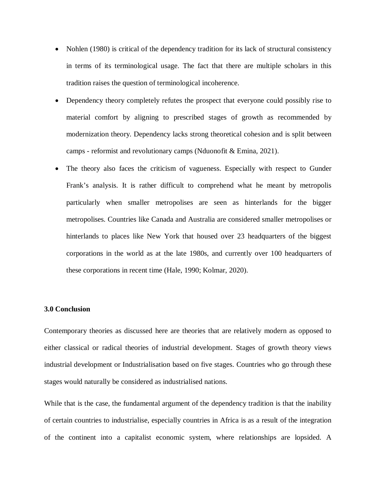- Nohlen (1980) is critical of the dependency tradition for its lack of structural consistency in terms of its terminological usage. The fact that there are multiple scholars in this tradition raises the question of terminological incoherence.
- Dependency theory completely refutes the prospect that everyone could possibly rise to material comfort by aligning to prescribed stages of growth as recommended by modernization theory. Dependency lacks strong theoretical cohesion and is split between camps - reformist and revolutionary camps (Nduonofit & Emina, 2021).
- The theory also faces the criticism of vagueness. Especially with respect to Gunder Frank's analysis. It is rather difficult to comprehend what he meant by metropolis particularly when smaller metropolises are seen as hinterlands for the bigger metropolises. Countries like Canada and Australia are considered smaller metropolises or hinterlands to places like New York that housed over 23 headquarters of the biggest corporations in the world as at the late 1980s, and currently over 100 headquarters of these corporations in recent time (Hale, 1990; Kolmar, 2020).

## **3.0 Conclusion**

Contemporary theories as discussed here are theories that are relatively modern as opposed to either classical or radical theories of industrial development. Stages of growth theory views industrial development or Industrialisation based on five stages. Countries who go through these stages would naturally be considered as industrialised nations.

While that is the case, the fundamental argument of the dependency tradition is that the inability of certain countries to industrialise, especially countries in Africa is as a result of the integration of the continent into a capitalist economic system, where relationships are lopsided. A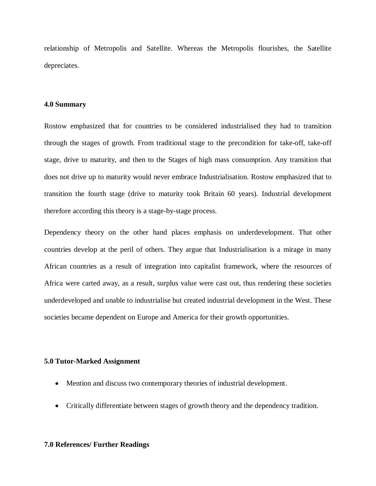relationship of Metropolis and Satellite. Whereas the Metropolis flourishes, the Satellite depreciates.

## **4.0 Summary**

Rostow emphasized that for countries to be considered industrialised they had to transition through the stages of growth. From traditional stage to the precondition for take-off, take-off stage, drive to maturity, and then to the Stages of high mass consumption. Any transition that does not drive up to maturity would never embrace Industrialisation. Rostow emphasized that to transition the fourth stage (drive to maturity took Britain 60 years). Industrial development therefore according this theory is a stage-by-stage process.

Dependency theory on the other hand places emphasis on underdevelopment. That other countries develop at the peril of others. They argue that Industrialisation is a mirage in many African countries as a result of integration into capitalist framework, where the resources of Africa were carted away, as a result, surplus value were cast out, thus rendering these societies underdeveloped and unable to industrialise but created industrial development in the West. These societies became dependent on Europe and America for their growth opportunities.

#### **5.0 Tutor-Marked Assignment**

- Mention and discuss two contemporary theories of industrial development.
- Critically differentiate between stages of growth theory and the dependency tradition.

## **7.0 References/ Further Readings**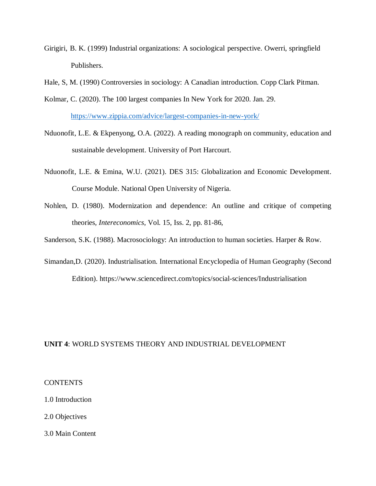- Girigiri, B. K. (1999) Industrial organizations: A sociological perspective. Owerri, springfield Publishers.
- Hale, S, M. (1990) Controversies in sociology: A Canadian introduction. Copp Clark Pitman.
- Kolmar, C. (2020). The 100 largest companies In New York for 2020. Jan. 29. https://www.zippia.com/advice/largest-companies-in-new-york/
- Nduonofit, L.E. & Ekpenyong, O.A. (2022). A reading monograph on community, education and sustainable development. University of Port Harcourt.
- Nduonofit, L.E. & Emina, W.U. (2021). DES 315: Globalization and Economic Development. Course Module. National Open University of Nigeria.
- Nohlen, D. (1980). Modernization and dependence: An outline and critique of competing theories*, Intereconomics*, Vol. 15, Iss. 2, pp. 81-86,
- Sanderson, S.K. (1988). Macrosociology: An introduction to human societies. Harper & Row.
- Simandan,D. (2020). Industrialisation. International Encyclopedia of Human Geography (Second Edition). https://www.sciencedirect.com/topics/social-sciences/Industrialisation

# **UNIT 4**: WORLD SYSTEMS THEORY AND INDUSTRIAL DEVELOPMENT

## **CONTENTS**

- 1.0 Introduction
- 2.0 Objectives
- 3.0 Main Content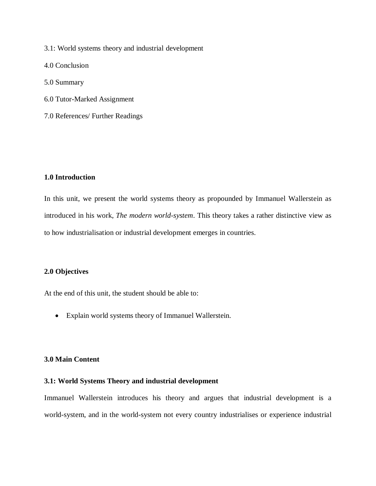3.1: World systems theory and industrial development

4.0 Conclusion

5.0 Summary

- 6.0 Tutor-Marked Assignment
- 7.0 References/ Further Readings

## **1.0 Introduction**

In this unit, we present the world systems theory as propounded by Immanuel Wallerstein as introduced in his work, *The modern world-system*. This theory takes a rather distinctive view as to how industrialisation or industrial development emerges in countries.

# **2.0 Objectives**

At the end of this unit, the student should be able to:

Explain world systems theory of Immanuel Wallerstein.

## **3.0 Main Content**

# **3.1: World Systems Theory and industrial development**

Immanuel Wallerstein introduces his theory and argues that industrial development is a world-system, and in the world-system not every country industrialises or experience industrial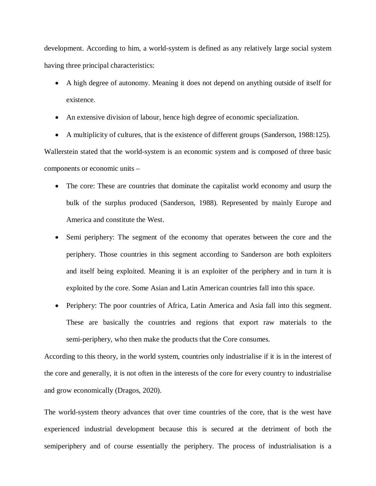development. According to him, a world-system is defined as any relatively large social system having three principal characteristics:

- A high degree of autonomy. Meaning it does not depend on anything outside of itself for existence.
- An extensive division of labour, hence high degree of economic specialization.
- A multiplicity of cultures, that is the existence of different groups (Sanderson, 1988:125).

Wallerstein stated that the world-system is an economic system and is composed of three basic components or economic units –

- The core: These are countries that dominate the capitalist world economy and usurp the bulk of the surplus produced (Sanderson, 1988). Represented by mainly Europe and America and constitute the West.
- Semi periphery: The segment of the economy that operates between the core and the periphery. Those countries in this segment according to Sanderson are both exploiters and itself being exploited. Meaning it is an exploiter of the periphery and in turn it is exploited by the core. Some Asian and Latin American countries fall into this space.
- Periphery: The poor countries of Africa, Latin America and Asia fall into this segment. These are basically the countries and regions that export raw materials to the semi-periphery, who then make the products that the Core consumes.

According to this theory, in the world system, countries only industrialise if it is in the interest of the core and generally, it is not often in the interests of the core for every country to industrialise and grow economically (Dragos, 2020).

The world-system theory advances that over time countries of the core, that is the west have experienced industrial development because this is secured at the detriment of both the semiperiphery and of course essentially the periphery. The process of industrialisation is a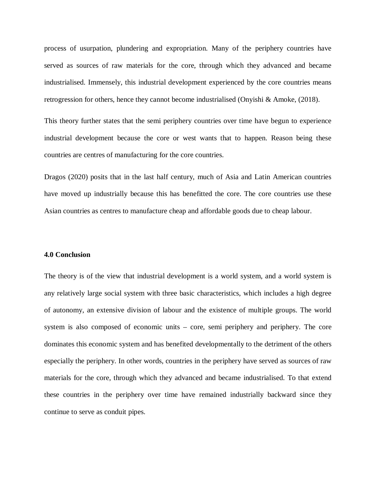process of usurpation, plundering and expropriation. Many of the periphery countries have served as sources of raw materials for the core, through which they advanced and became industrialised. Immensely, this industrial development experienced by the core countries means retrogression for others, hence they cannot become industrialised (Onyishi & Amoke, (2018).

This theory further states that the semi periphery countries over time have begun to experience industrial development because the core or west wants that to happen. Reason being these countries are centres of manufacturing for the core countries.

Dragos (2020) posits that in the last half century, much of Asia and Latin American countries have moved up industrially because this has benefitted the core. The core countries use these Asian countries as centres to manufacture cheap and affordable goods due to cheap labour.

#### **4.0 Conclusion**

The theory is of the view that industrial development is a world system, and a world system is any relatively large social system with three basic characteristics, which includes a high degree of autonomy, an extensive division of labour and the existence of multiple groups. The world system is also composed of economic units – core, semi periphery and periphery. The core dominates this economic system and has benefited developmentally to the detriment of the others especially the periphery. In other words, countries in the periphery have served as sources of raw materials for the core, through which they advanced and became industrialised. To that extend these countries in the periphery over time have remained industrially backward since they continue to serve as conduit pipes.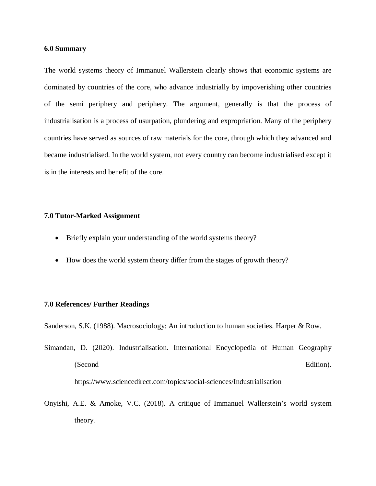## **6.0 Summary**

The world systems theory of Immanuel Wallerstein clearly shows that economic systems are dominated by countries of the core, who advance industrially by impoverishing other countries of the semi periphery and periphery. The argument, generally is that the process of industrialisation is a process of usurpation, plundering and expropriation. Many of the periphery countries have served as sources of raw materials for the core, through which they advanced and became industrialised. In the world system, not every country can become industrialised except it is in the interests and benefit of the core.

#### **7.0 Tutor-Marked Assignment**

- Briefly explain your understanding of the world systems theory?
- How does the world system theory differ from the stages of growth theory?

## **7.0 References/ Further Readings**

Sanderson, S.K. (1988). Macrosociology: An introduction to human societies. Harper & Row.

- Simandan, D. (2020). Industrialisation. International Encyclopedia of Human Geography (Second Edition). https://www.sciencedirect.com/topics/social-sciences/Industrialisation
- Onyishi, A.E. & Amoke, V.C. (2018). A critique of Immanuel Wallerstein's world system theory.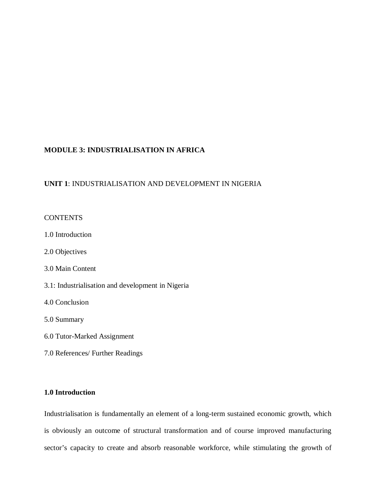# **MODULE 3: INDUSTRIALISATION IN AFRICA**

# **UNIT 1**: INDUSTRIALISATION AND DEVELOPMENT IN NIGERIA

# **CONTENTS**

- 1.0 Introduction
- 2.0 Objectives
- 3.0 Main Content
- 3.1: Industrialisation and development in Nigeria
- 4.0 Conclusion
- 5.0 Summary
- 6.0 Tutor-Marked Assignment
- 7.0 References/ Further Readings

# **1.0 Introduction**

Industrialisation is fundamentally an element of a long-term sustained economic growth, which is obviously an outcome of structural transformation and of course improved manufacturing sector's capacity to create and absorb reasonable workforce, while stimulating the growth of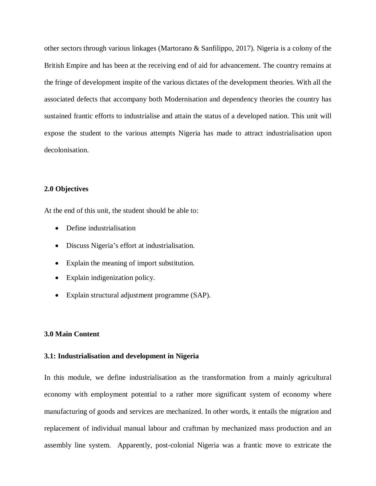other sectors through various linkages (Martorano & Sanfilippo, 2017). Nigeria is a colony of the British Empire and has been at the receiving end of aid for advancement. The country remains at the fringe of development inspite of the various dictates of the development theories. With all the associated defects that accompany both Modernisation and dependency theories the country has sustained frantic efforts to industrialise and attain the status of a developed nation. This unit will expose the student to the various attempts Nigeria has made to attract industrialisation upon decolonisation.

# **2.0 Objectives**

At the end of this unit, the student should be able to:

- Define industrialisation
- Discuss Nigeria's effort at industrialisation.
- Explain the meaning of import substitution.
- Explain indigenization policy.
- Explain structural adjustment programme (SAP).

## **3.0 Main Content**

## **3.1: Industrialisation and development in Nigeria**

In this module, we define industrialisation as the transformation from a mainly agricultural economy with employment potential to a rather more significant system of economy where manufacturing of goods and services are mechanized. In other words, it entails the migration and replacement of individual manual labour and craftman by mechanized mass production and an assembly line system. Apparently, post-colonial Nigeria was a frantic move to extricate the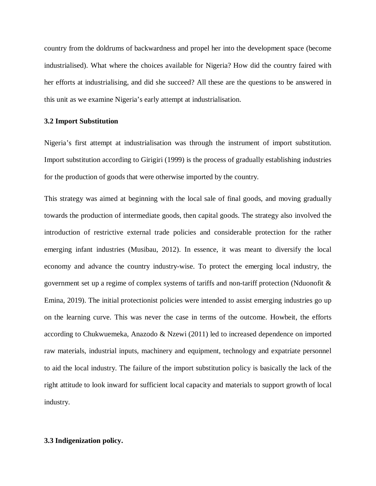country from the doldrums of backwardness and propel her into the development space (become industrialised). What where the choices available for Nigeria? How did the country faired with her efforts at industrialising, and did she succeed? All these are the questions to be answered in this unit as we examine Nigeria's early attempt at industrialisation.

### **3.2 Import Substitution**

Nigeria's first attempt at industrialisation was through the instrument of import substitution. Import substitution according to Girigiri (1999) is the process of gradually establishing industries for the production of goods that were otherwise imported by the country.

This strategy was aimed at beginning with the local sale of final goods, and moving gradually towards the production of intermediate goods, then capital goods. The strategy also involved the introduction of restrictive external trade policies and considerable protection for the rather emerging infant industries (Musibau, 2012). In essence, it was meant to diversify the local economy and advance the country industry-wise. To protect the emerging local industry, the government set up a regime of complex systems of tariffs and non-tariff protection (Nduonofit & Emina, 2019). The initial protectionist policies were intended to assist emerging industries go up on the learning curve. This was never the case in terms of the outcome. Howbeit, the efforts according to Chukwuemeka, Anazodo & Nzewi (2011) led to increased dependence on imported raw materials, industrial inputs, machinery and equipment, technology and expatriate personnel to aid the local industry. The failure of the import substitution policy is basically the lack of the right attitude to look inward for sufficient local capacity and materials to support growth of local industry.

## **3.3 Indigenization policy.**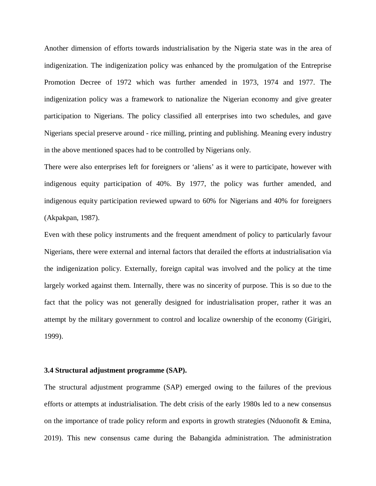Another dimension of efforts towards industrialisation by the Nigeria state was in the area of indigenization. The indigenization policy was enhanced by the promulgation of the Entreprise Promotion Decree of 1972 which was further amended in 1973, 1974 and 1977. The indigenization policy was a framework to nationalize the Nigerian economy and give greater participation to Nigerians. The policy classified all enterprises into two schedules, and gave Nigerians special preserve around - rice milling, printing and publishing. Meaning every industry in the above mentioned spaces had to be controlled by Nigerians only.

There were also enterprises left for foreigners or 'aliens' as it were to participate, however with indigenous equity participation of 40%. By 1977, the policy was further amended, and indigenous equity participation reviewed upward to 60% for Nigerians and 40% for foreigners (Akpakpan, 1987).

Even with these policy instruments and the frequent amendment of policy to particularly favour Nigerians, there were external and internal factors that derailed the efforts at industrialisation via the indigenization policy. Externally, foreign capital was involved and the policy at the time largely worked against them. Internally, there was no sincerity of purpose. This is so due to the fact that the policy was not generally designed for industrialisation proper, rather it was an attempt by the military government to control and localize ownership of the economy (Girigiri, 1999).

#### **3.4 Structural adjustment programme (SAP).**

The structural adjustment programme (SAP) emerged owing to the failures of the previous efforts or attempts at industrialisation. The debt crisis of the early 1980s led to a new consensus on the importance of trade policy reform and exports in growth strategies (Nduonofit  $\&$  Emina, 2019). This new consensus came during the Babangida administration. The administration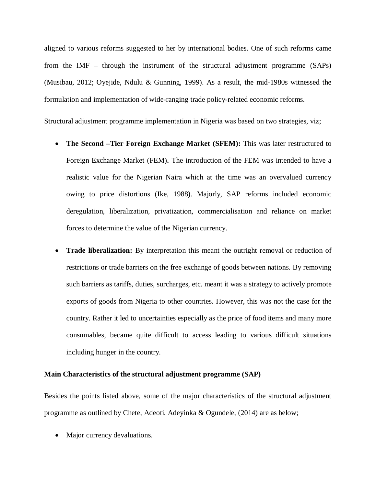aligned to various reforms suggested to her by international bodies. One of such reforms came from the IMF – through the instrument of the structural adjustment programme (SAPs) (Musibau, 2012; Oyejide, Ndulu & Gunning, 1999). As a result, the mid-1980s witnessed the formulation and implementation of wide-ranging trade policy-related economic reforms.

Structural adjustment programme implementation in Nigeria was based on two strategies, viz;

- The Second –Tier Foreign Exchange Market (SFEM): This was later restructured to Foreign Exchange Market (FEM)**.** The introduction of the FEM was intended to have a realistic value for the Nigerian Naira which at the time was an overvalued currency owing to price distortions (Ike, 1988). Majorly, SAP reforms included economic deregulation, liberalization, privatization, commercialisation and reliance on market forces to determine the value of the Nigerian currency.
- **Trade liberalization:** By interpretation this meant the outright removal or reduction of restrictions or trade barriers on the free exchange of goods between nations. By removing such barriers as tariffs, duties, surcharges, etc. meant it was a strategy to actively promote exports of goods from Nigeria to other countries. However, this was not the case for the country. Rather it led to uncertainties especially as the price of food items and many more consumables, became quite difficult to access leading to various difficult situations including hunger in the country.

## **Main Characteristics of the structural adjustment programme (SAP)**

Besides the points listed above, some of the major characteristics of the structural adjustment programme as outlined by Chete, Adeoti, Adeyinka & Ogundele, (2014) are as below;

• Major currency devaluations.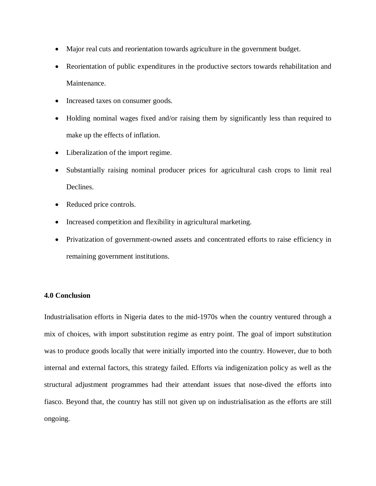- Major real cuts and reorientation towards agriculture in the government budget.
- Reorientation of public expenditures in the productive sectors towards rehabilitation and Maintenance.
- Increased taxes on consumer goods.
- Holding nominal wages fixed and/or raising them by significantly less than required to make up the effects of inflation.
- Liberalization of the import regime.
- Substantially raising nominal producer prices for agricultural cash crops to limit real Declines.
- Reduced price controls.
- Increased competition and flexibility in agricultural marketing.
- Privatization of government-owned assets and concentrated efforts to raise efficiency in remaining government institutions.

# **4.0 Conclusion**

Industrialisation efforts in Nigeria dates to the mid-1970s when the country ventured through a mix of choices, with import substitution regime as entry point. The goal of import substitution was to produce goods locally that were initially imported into the country. However, due to both internal and external factors, this strategy failed. Efforts via indigenization policy as well as the structural adjustment programmes had their attendant issues that nose-dived the efforts into fiasco. Beyond that, the country has still not given up on industrialisation as the efforts are still ongoing.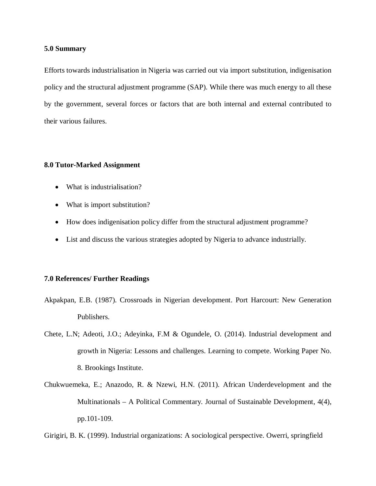## **5.0 Summary**

Efforts towards industrialisation in Nigeria was carried out via import substitution, indigenisation policy and the structural adjustment programme (SAP). While there was much energy to all these by the government, several forces or factors that are both internal and external contributed to their various failures.

## **8.0 Tutor-Marked Assignment**

- What is industrialisation?
- What is import substitution?
- How does indigenisation policy differ from the structural adjustment programme?
- List and discuss the various strategies adopted by Nigeria to advance industrially.

## **7.0 References/ Further Readings**

- Akpakpan, E.B. (1987). Crossroads in Nigerian development. Port Harcourt: New Generation Publishers.
- Chete, L.N; Adeoti, J.O.; Adeyinka, F.M & Ogundele, O. (2014). Industrial development and growth in Nigeria: Lessons and challenges. Learning to compete. Working Paper No. 8. Brookings Institute.
- Chukwuemeka, E.; Anazodo, R. & Nzewi, H.N. (2011). African Underdevelopment and the Multinationals – A Political Commentary. Journal of Sustainable Development, 4(4), pp.101-109.

Girigiri, B. K. (1999). Industrial organizations: A sociological perspective. Owerri, springfield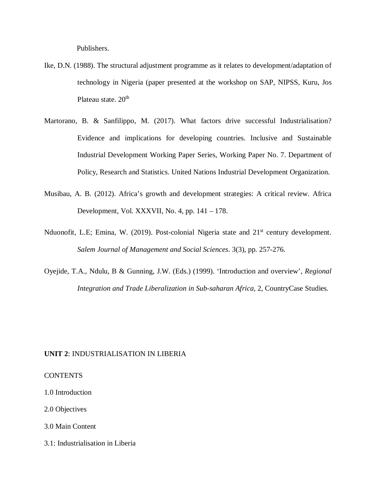Publishers.

- Ike, D.N. (1988). The structural adjustment programme as it relates to development/adaptation of technology in Nigeria (paper presented at the workshop on SAP, NIPSS, Kuru, Jos Plateau state. 20<sup>th</sup>
- Martorano, B. & Sanfilippo, M. (2017). What factors drive successful Industrialisation? Evidence and implications for developing countries. Inclusive and Sustainable Industrial Development Working Paper Series, Working Paper No. 7. Department of Policy, Research and Statistics. United Nations Industrial Development Organization.
- Musibau, A. B. (2012). Africa's growth and development strategies: A critical review. Africa Development, Vol. XXXVII, No. 4, pp. 141 – 178.
- Nduonofit, L.E; Emina, W. (2019). Post-colonial Nigeria state and 21<sup>st</sup> century development. *Salem Journal of Management and Social Sciences*. 3(3), pp. 257-276.
- Oyejide, T.A., Ndulu, B & Gunning, J.W. (Eds.) (1999). 'Introduction and overview', *Regional Integration and Trade Liberalization in Sub-saharan Africa*, 2, CountryCase Studies.

## **UNIT 2**: INDUSTRIALISATION IN LIBERIA

## CONTENTS

1.0 Introduction

2.0 Objectives

3.0 Main Content

3.1: Industrialisation in Liberia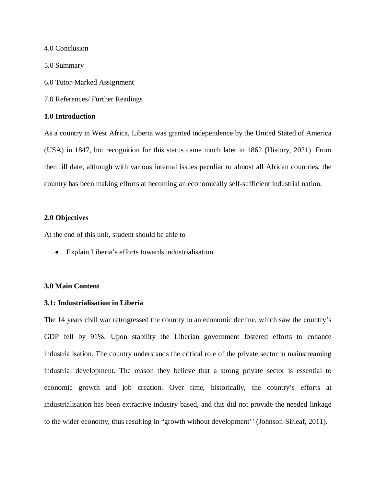4.0 Conclusion

5.0 Summary

6.0 Tutor-Marked Assignment

7.0 References/ Further Readings

## **1.0 Introduction**

As a country in West Africa, Liberia was granted independence by the United Stated of America (USA) in 1847, but recognition for this status came much later in 1862 (History, 2021). From then till date, although with various internal issues peculiar to almost all African countries, the country has been making efforts at becoming an economically self-sufficient industrial nation.

#### **2.0 Objectives**

At the end of this unit, student should be able to

Explain Liberia's efforts towards industrialisation.

#### **3.0 Main Content**

#### **3.1: Industrialisation in Liberia**

The 14 years civil war retrogressed the country to an economic decline, which saw the country's GDP fell by 91%. Upon stability the Liberian government fostered efforts to enhance industrialisation. The country understands the critical role of the private sector in mainstreaming industrial development. The reason they believe that a strong private sector is essential to economic growth and job creation. Over time, historically, the country's efforts at industrialisation has been extractive industry based, and this did not provide the needed linkage to the wider economy, thus resulting in "growth without development'' (Johnson-Sirleaf, 2011).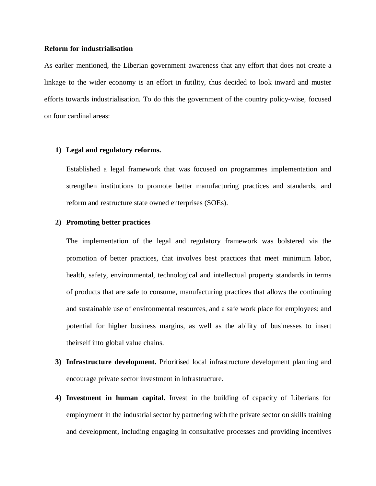#### **Reform for industrialisation**

As earlier mentioned, the Liberian government awareness that any effort that does not create a linkage to the wider economy is an effort in futility, thus decided to look inward and muster efforts towards industrialisation. To do this the government of the country policy-wise, focused on four cardinal areas:

#### **1) Legal and regulatory reforms.**

Established a legal framework that was focused on programmes implementation and strengthen institutions to promote better manufacturing practices and standards, and reform and restructure state owned enterprises (SOEs).

## **2) Promoting better practices**

The implementation of the legal and regulatory framework was bolstered via the promotion of better practices, that involves best practices that meet minimum labor, health, safety, environmental, technological and intellectual property standards in terms of products that are safe to consume, manufacturing practices that allows the continuing and sustainable use of environmental resources, and a safe work place for employees; and potential for higher business margins, as well as the ability of businesses to insert theirself into global value chains.

- **3) Infrastructure development.** Prioritised local infrastructure development planning and encourage private sector investment in infrastructure.
- **4) Investment in human capital.** Invest in the building of capacity of Liberians for employment in the industrial sector by partnering with the private sector on skills training and development, including engaging in consultative processes and providing incentives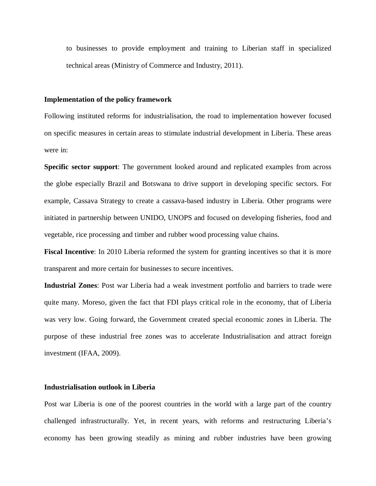to businesses to provide employment and training to Liberian staff in specialized technical areas (Ministry of Commerce and Industry, 2011).

#### **Implementation of the policy framework**

Following instituted reforms for industrialisation, the road to implementation however focused on specific measures in certain areas to stimulate industrial development in Liberia. These areas were in:

**Specific sector support**: The government looked around and replicated examples from across the globe especially Brazil and Botswana to drive support in developing specific sectors. For example, Cassava Strategy to create a cassava-based industry in Liberia. Other programs were initiated in partnership between UNIDO, UNOPS and focused on developing fisheries, food and vegetable, rice processing and timber and rubber wood processing value chains.

**Fiscal Incentive**: In 2010 Liberia reformed the system for granting incentives so that it is more transparent and more certain for businesses to secure incentives.

**Industrial Zones**: Post war Liberia had a weak investment portfolio and barriers to trade were quite many. Moreso, given the fact that FDI plays critical role in the economy, that of Liberia was very low. Going forward, the Government created special economic zones in Liberia. The purpose of these industrial free zones was to accelerate Industrialisation and attract foreign investment (IFAA, 2009).

#### **Industrialisation outlook in Liberia**

Post war Liberia is one of the poorest countries in the world with a large part of the country challenged infrastructurally. Yet, in recent years, with reforms and restructuring Liberia's economy has been growing steadily as mining and rubber industries have been growing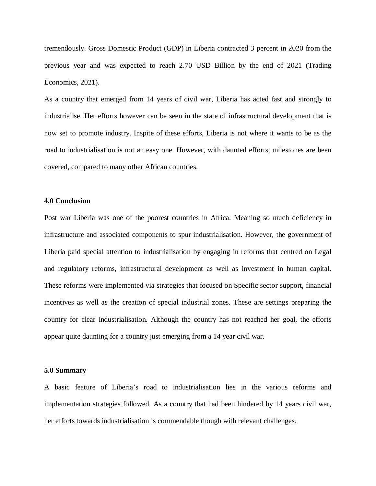tremendously. Gross Domestic Product (GDP) in Liberia contracted 3 percent in 2020 from the previous year and was expected to reach 2.70 USD Billion by the end of 2021 (Trading Economics, 2021).

As a country that emerged from 14 years of civil war, Liberia has acted fast and strongly to industrialise. Her efforts however can be seen in the state of infrastructural development that is now set to promote industry. Inspite of these efforts, Liberia is not where it wants to be as the road to industrialisation is not an easy one. However, with daunted efforts, milestones are been covered, compared to many other African countries.

### **4.0 Conclusion**

Post war Liberia was one of the poorest countries in Africa. Meaning so much deficiency in infrastructure and associated components to spur industrialisation. However, the government of Liberia paid special attention to industrialisation by engaging in reforms that centred on Legal and regulatory reforms, infrastructural development as well as investment in human capital. These reforms were implemented via strategies that focused on Specific sector support, financial incentives as well as the creation of special industrial zones. These are settings preparing the country for clear industrialisation. Although the country has not reached her goal, the efforts appear quite daunting for a country just emerging from a 14 year civil war.

#### **5.0 Summary**

A basic feature of Liberia's road to industrialisation lies in the various reforms and implementation strategies followed. As a country that had been hindered by 14 years civil war, her efforts towards industrialisation is commendable though with relevant challenges.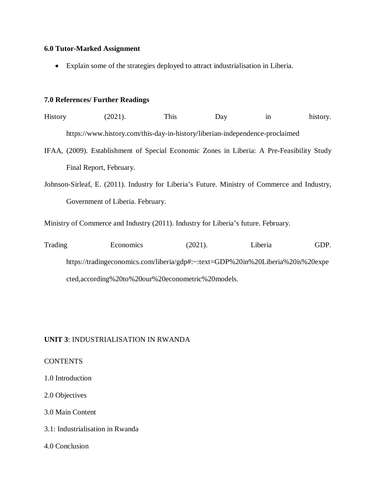# **6.0 Tutor-Marked Assignment**

Explain some of the strategies deployed to attract industrialisation in Liberia.

# **7.0 References/ Further Readings**

| <b>History</b>                                                                                | (2021).                                                                      | This | Day | 1n | history. |  |  |
|-----------------------------------------------------------------------------------------------|------------------------------------------------------------------------------|------|-----|----|----------|--|--|
|                                                                                               | https://www.history.com/this-day-in-history/liberian-independence-proclaimed |      |     |    |          |  |  |
| IFAA, (2009). Establishment of Special Economic Zones in Liberia: A Pre-Feasibility Study     |                                                                              |      |     |    |          |  |  |
|                                                                                               | Final Report, February.                                                      |      |     |    |          |  |  |
| Johnson-Sirleaf, E. (2011). Industry for Liberia's Future. Ministry of Commerce and Industry, |                                                                              |      |     |    |          |  |  |
|                                                                                               | Government of Liberia. February.                                             |      |     |    |          |  |  |

Ministry of Commerce and Industry (2011). Industry for Liberia's future. February.

| Trading | Economics                                                                       | (2021). | Liberia | GDP. |  |  |
|---------|---------------------------------------------------------------------------------|---------|---------|------|--|--|
|         | https://tradingeconomics.com/liberia/gdp#:~:text=GDP%20in%20Liberia%20is%20expe |         |         |      |  |  |
|         | cted, according% 20to% 20our% 20econometric% 20models.                          |         |         |      |  |  |

# **UNIT 3**: INDUSTRIALISATION IN RWANDA

# **CONTENTS**

1.0 Introduction

2.0 Objectives

# 3.0 Main Content

3.1: Industrialisation in Rwanda

4.0 Conclusion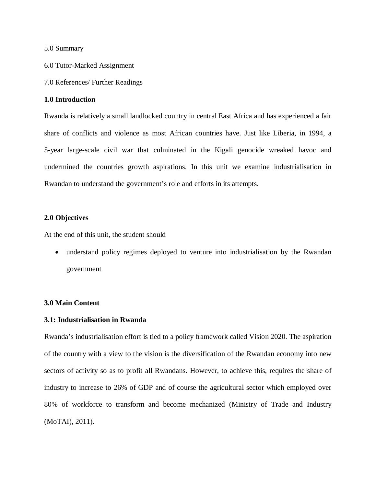5.0 Summary

- 6.0 Tutor-Marked Assignment
- 7.0 References/ Further Readings

## **1.0 Introduction**

Rwanda is relatively a small landlocked country in central East Africa and has experienced a fair share of conflicts and violence as most African countries have. Just like Liberia, in 1994, a 5-year large-scale civil war that culminated in the Kigali genocide wreaked havoc and undermined the countries growth aspirations. In this unit we examine industrialisation in Rwandan to understand the government's role and efforts in its attempts.

## **2.0 Objectives**

At the end of this unit, the student should

 understand policy regimes deployed to venture into industrialisation by the Rwandan government

## **3.0 Main Content**

## **3.1: Industrialisation in Rwanda**

Rwanda's industrialisation effort is tied to a policy framework called Vision 2020. The aspiration of the country with a view to the vision is the diversification of the Rwandan economy into new sectors of activity so as to profit all Rwandans. However, to achieve this, requires the share of industry to increase to 26% of GDP and of course the agricultural sector which employed over 80% of workforce to transform and become mechanized (Ministry of Trade and Industry (MoTAI), 2011).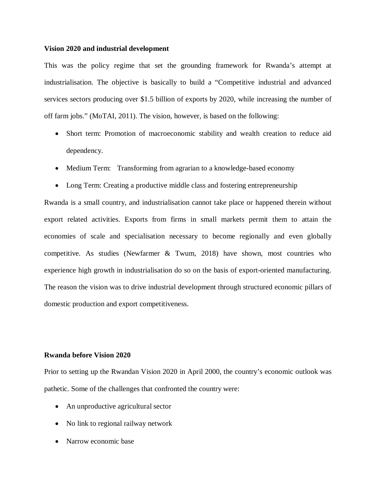#### **Vision 2020 and industrial development**

This was the policy regime that set the grounding framework for Rwanda's attempt at industrialisation. The objective is basically to build a "Competitive industrial and advanced services sectors producing over \$1.5 billion of exports by 2020, while increasing the number of off farm jobs." (MoTAI, 2011). The vision, however, is based on the following:

- Short term: Promotion of macroeconomic stability and wealth creation to reduce aid dependency.
- Medium Term: Transforming from agrarian to a knowledge-based economy
- Long Term: Creating a productive middle class and fostering entrepreneurship

Rwanda is a small country, and industrialisation cannot take place or happened therein without export related activities. Exports from firms in small markets permit them to attain the economies of scale and specialisation necessary to become regionally and even globally competitive. As studies (Newfarmer & Twum, 2018) have shown, most countries who experience high growth in industrialisation do so on the basis of export-oriented manufacturing. The reason the vision was to drive industrial development through structured economic pillars of domestic production and export competitiveness.

## **Rwanda before Vision 2020**

Prior to setting up the Rwandan Vision 2020 in April 2000, the country's economic outlook was pathetic. Some of the challenges that confronted the country were:

- An unproductive agricultural sector
- No link to regional railway network
- Narrow economic base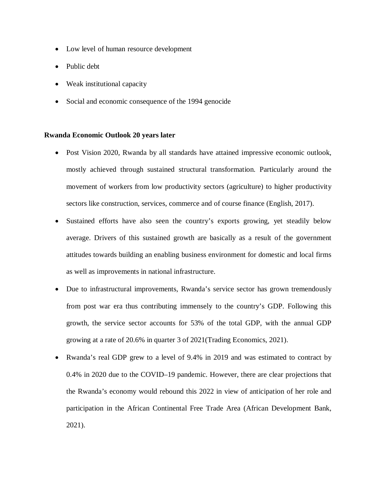- Low level of human resource development
- Public debt
- Weak institutional capacity
- Social and economic consequence of the 1994 genocide

#### **Rwanda Economic Outlook 20 years later**

- Post Vision 2020, Rwanda by all standards have attained impressive economic outlook, mostly achieved through sustained structural transformation. Particularly around the movement of workers from low productivity sectors (agriculture) to higher productivity sectors like construction, services, commerce and of course finance (English, 2017).
- Sustained efforts have also seen the country's exports growing, yet steadily below average. Drivers of this sustained growth are basically as a result of the government attitudes towards building an enabling business environment for domestic and local firms as well as improvements in national infrastructure.
- Due to infrastructural improvements, Rwanda's service sector has grown tremendously from post war era thus contributing immensely to the country's GDP. Following this growth, the service sector accounts for 53% of the total GDP, with the annual GDP growing at a rate of 20.6% in quarter 3 of 2021(Trading Economics, 2021).
- Rwanda's real GDP grew to a level of 9.4% in 2019 and was estimated to contract by 0.4% in 2020 due to the COVID–19 pandemic. However, there are clear projections that the Rwanda's economy would rebound this 2022 in view of anticipation of her role and participation in the African Continental Free Trade Area (African Development Bank, 2021).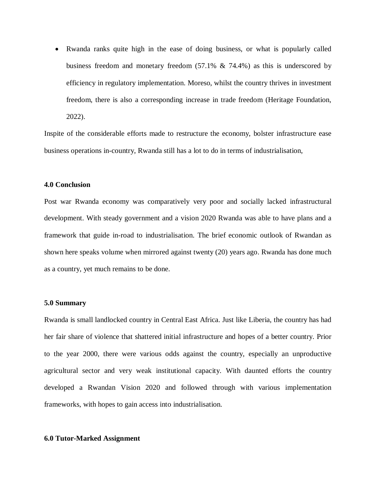Rwanda ranks quite high in the ease of doing business, or what is popularly called business freedom and monetary freedom (57.1% & 74.4%) as this is underscored by efficiency in regulatory implementation. Moreso, whilst the country thrives in investment freedom, there is also a corresponding increase in trade freedom (Heritage Foundation, 2022).

Inspite of the considerable efforts made to restructure the economy, bolster infrastructure ease business operations in-country, Rwanda still has a lot to do in terms of industrialisation,

### **4.0 Conclusion**

Post war Rwanda economy was comparatively very poor and socially lacked infrastructural development. With steady government and a vision 2020 Rwanda was able to have plans and a framework that guide in-road to industrialisation. The brief economic outlook of Rwandan as shown here speaks volume when mirrored against twenty (20) years ago. Rwanda has done much as a country, yet much remains to be done.

#### **5.0 Summary**

Rwanda is small landlocked country in Central East Africa. Just like Liberia, the country has had her fair share of violence that shattered initial infrastructure and hopes of a better country. Prior to the year 2000, there were various odds against the country, especially an unproductive agricultural sector and very weak institutional capacity. With daunted efforts the country developed a Rwandan Vision 2020 and followed through with various implementation frameworks, with hopes to gain access into industrialisation.

### **6.0 Tutor-Marked Assignment**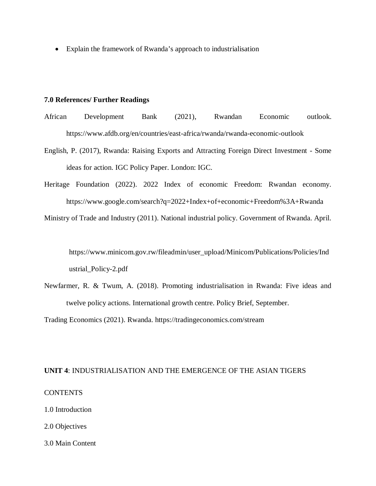Explain the framework of Rwanda's approach to industrialisation

#### **7.0 References/ Further Readings**

- African Development Bank (2021), Rwandan Economic outlook. https://www.afdb.org/en/countries/east-africa/rwanda/rwanda-economic-outlook
- English, P. (2017), Rwanda: Raising Exports and Attracting Foreign Direct Investment Some ideas for action. IGC Policy Paper. London: IGC.
- Heritage Foundation (2022). 2022 Index of economic Freedom: Rwandan economy. https://www.google.com/search?q=2022+Index+of+economic+Freedom%3A+Rwanda

Ministry of Trade and Industry (2011). National industrial policy. Government of Rwanda. April.

https://www.minicom.gov.rw/fileadmin/user\_upload/Minicom/Publications/Policies/Ind ustrial\_Policy-2.pdf

Newfarmer, R. & Twum, A. (2018). Promoting industrialisation in Rwanda: Five ideas and twelve policy actions. International growth centre. Policy Brief, September.

Trading Economics (2021). Rwanda. https://tradingeconomics.com/stream

#### **UNIT 4**: INDUSTRIALISATION AND THE EMERGENCE OF THE ASIAN TIGERS

### **CONTENTS**

1.0 Introduction

- 2.0 Objectives
- 3.0 Main Content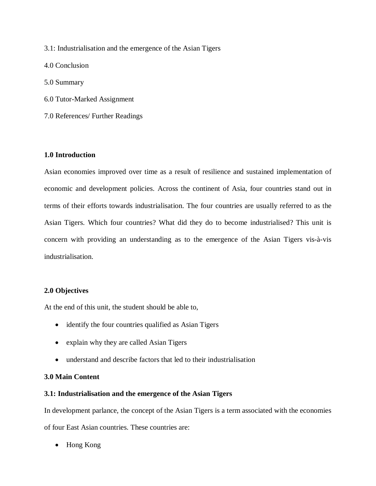3.1: Industrialisation and the emergence of the Asian Tigers

4.0 Conclusion

5.0 Summary

6.0 Tutor-Marked Assignment

7.0 References/ Further Readings

## **1.0 Introduction**

Asian economies improved over time as a result of resilience and sustained implementation of economic and development policies. Across the continent of Asia, four countries stand out in terms of their efforts towards industrialisation. The four countries are usually referred to as the Asian Tigers. Which four countries? What did they do to become industrialised? This unit is concern with providing an understanding as to the emergence of the Asian Tigers vis-à-vis industrialisation.

# **2.0 Objectives**

At the end of this unit, the student should be able to,

- identify the four countries qualified as Asian Tigers
- explain why they are called Asian Tigers
- understand and describe factors that led to their industrialisation

## **3.0 Main Content**

## **3.1: Industrialisation and the emergence of the Asian Tigers**

In development parlance, the concept of the Asian Tigers is a term associated with the economies of four East Asian countries. These countries are:

• Hong Kong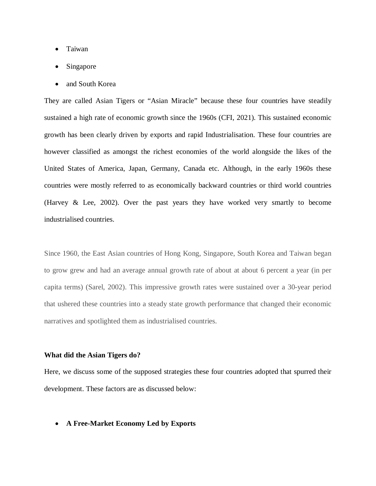- Taiwan
- Singapore
- and South Korea

They are called Asian Tigers or "Asian Miracle" because these four countries have steadily sustained a high rate of economic growth since the 1960s (CFI, 2021). This sustained economic growth has been clearly driven by exports and rapid Industrialisation. These four countries are however classified as amongst the richest economies of the world alongside the likes of the United States of America, Japan, Germany, Canada etc. Although, in the early 1960s these countries were mostly referred to as economically backward countries or third world countries (Harvey & Lee, 2002). Over the past years they have worked very smartly to become industrialised countries.

Since 1960, the East Asian countries of Hong Kong, Singapore, South Korea and Taiwan began to grow grew and had an average annual growth rate of about at about 6 percent a year (in per capita terms) (Sarel, 2002). This impressive growth rates were sustained over a 30-year period that ushered these countries into a steady state growth performance that changed their economic narratives and spotlighted them as industrialised countries.

### **What did the Asian Tigers do?**

Here, we discuss some of the supposed strategies these four countries adopted that spurred their development. These factors are as discussed below:

**A Free-Market Economy Led by Exports**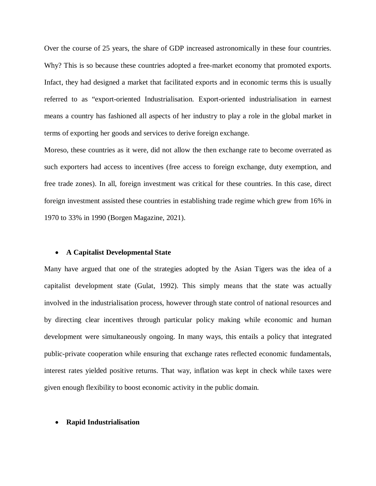Over the course of 25 years, the share of GDP increased astronomically in these four countries. Why? This is so because these countries adopted a free-market economy that promoted exports. Infact, they had designed a market that facilitated exports and in economic terms this is usually referred to as "export-oriented Industrialisation. Export-oriented industrialisation in earnest means a country has fashioned all aspects of her industry to play a role in the global market in terms of exporting her goods and services to derive foreign exchange.

Moreso, these countries as it were, did not allow the then exchange rate to become overrated as such exporters had access to incentives (free access to foreign exchange, duty exemption, and free trade zones). In all, foreign investment was critical for these countries. In this case, direct foreign investment assisted these countries in establishing trade regime which grew from 16% in 1970 to 33% in 1990 (Borgen Magazine, 2021).

#### **A Capitalist Developmental State**

Many have argued that one of the strategies adopted by the Asian Tigers was the idea of a capitalist development state (Gulat, 1992). This simply means that the state was actually involved in the industrialisation process, however through state control of national resources and by directing clear incentives through particular policy making while economic and human development were simultaneously ongoing. In many ways, this entails a policy that integrated public-private cooperation while ensuring that exchange rates reflected economic fundamentals, interest rates yielded positive returns. That way, inflation was kept in check while taxes were given enough flexibility to boost economic activity in the public domain.

#### **Rapid Industrialisation**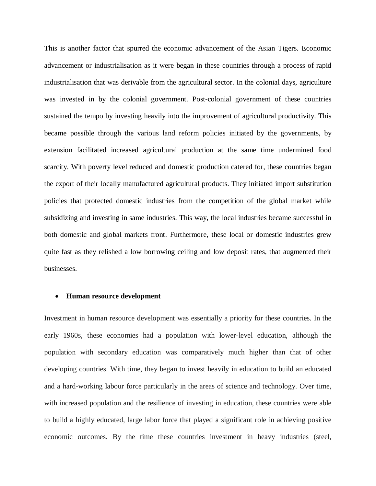This is another factor that spurred the economic advancement of the Asian Tigers. Economic advancement or industrialisation as it were began in these countries through a process of rapid industrialisation that was derivable from the agricultural sector. In the colonial days, agriculture was invested in by the colonial government. Post-colonial government of these countries sustained the tempo by investing heavily into the improvement of agricultural productivity. This became possible through the various land reform policies initiated by the governments, by extension facilitated increased agricultural production at the same time undermined food scarcity. With poverty level reduced and domestic production catered for, these countries began the export of their locally manufactured agricultural products. They initiated import substitution policies that protected domestic industries from the competition of the global market while subsidizing and investing in same industries. This way, the local industries became successful in both domestic and global markets front. Furthermore, these local or domestic industries grew quite fast as they relished a low borrowing ceiling and low deposit rates, that augmented their businesses.

#### **Human resource development**

Investment in human resource development was essentially a priority for these countries. In the early 1960s, these economies had a population with lower-level education, although the population with secondary education was comparatively much higher than that of other developing countries. With time, they began to invest heavily in education to build an educated and a hard-working labour force particularly in the areas of science and technology. Over time, with increased population and the resilience of investing in education, these countries were able to build a highly educated, large labor force that played a significant role in achieving positive economic outcomes. By the time these countries investment in heavy industries (steel,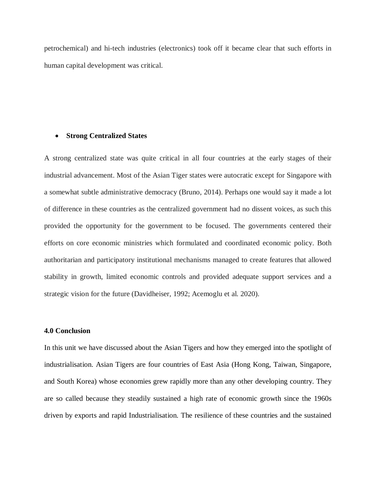petrochemical) and hi-tech industries (electronics) took off it became clear that such efforts in human capital development was critical.

#### **Strong Centralized States**

A strong centralized state was quite critical in all four countries at the early stages of their industrial advancement. Most of the Asian Tiger states were autocratic except for Singapore with a somewhat subtle administrative democracy (Bruno, 2014). Perhaps one would say it made a lot of difference in these countries as the centralized government had no dissent voices, as such this provided the opportunity for the government to be focused. The governments centered their efforts on core economic ministries which formulated and coordinated economic policy. Both authoritarian and participatory institutional mechanisms managed to create features that allowed stability in growth, limited economic controls and provided adequate support services and a strategic vision for the future (Davidheiser, 1992; Acemoglu et al. 2020).

## **4.0 Conclusion**

In this unit we have discussed about the Asian Tigers and how they emerged into the spotlight of industrialisation. Asian Tigers are four countries of East Asia (Hong Kong, Taiwan, Singapore, and South Korea) whose economies grew rapidly more than any other developing country. They are so called because they steadily sustained a high rate of economic growth since the 1960s driven by exports and rapid Industrialisation. The resilience of these countries and the sustained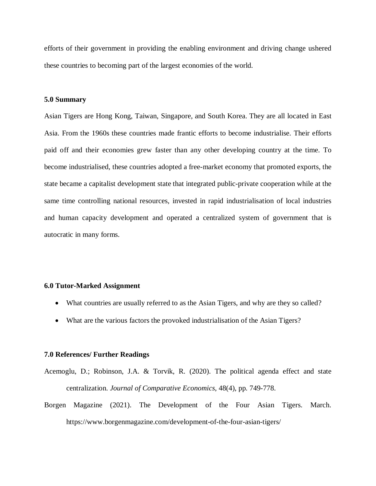efforts of their government in providing the enabling environment and driving change ushered these countries to becoming part of the largest economies of the world.

### **5.0 Summary**

Asian Tigers are Hong Kong, Taiwan, Singapore, and South Korea. They are all located in East Asia. From the 1960s these countries made frantic efforts to become industrialise. Their efforts paid off and their economies grew faster than any other developing country at the time. To become industrialised, these countries adopted a free-market economy that promoted exports, the state became a capitalist development state that integrated public-private cooperation while at the same time controlling national resources, invested in rapid industrialisation of local industries and human capacity development and operated a centralized system of government that is autocratic in many forms.

### **6.0 Tutor-Marked Assignment**

- What countries are usually referred to as the Asian Tigers, and why are they so called?
- What are the various factors the provoked industrialisation of the Asian Tigers?

### **7.0 References/ Further Readings**

- Acemoglu, D.; Robinson, J.A. & Torvik, R. (2020). The political agenda effect and state centralization. *Journal of Comparative Economics*, 48(4), pp. 749-778.
- Borgen Magazine (2021). The Development of the Four Asian Tigers. March. https://www.borgenmagazine.com/development-of-the-four-asian-tigers/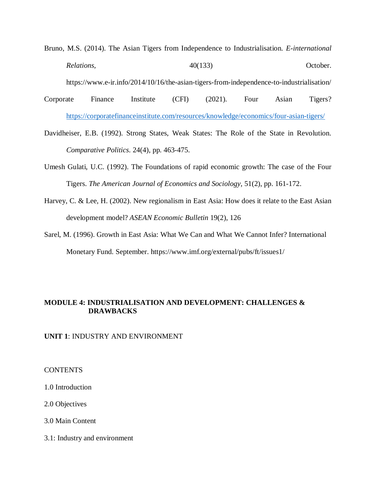Bruno, M.S. (2014). The Asian Tigers from Independence to Industrialisation. *E-international*  Relations,  $40(133)$  October.

https://www.e-ir.info/2014/10/16/the-asian-tigers-from-independence-to-industrialisation/

Corporate Finance Institute (CFI) (2021). Four Asian Tigers? https://corporatefinanceinstitute.com/resources/knowledge/economics/four-asian-tigers/

Davidheiser, E.B. (1992). Strong States, Weak States: The Role of the State in Revolution. *Comparative Politics*. 24(4), pp. 463-475.

- Umesh Gulati, U.C. (1992). The Foundations of rapid economic growth: The case of the Four Tigers. *The American Journal of Economics and Sociology*, 51(2), pp. 161-172.
- Harvey, C. & Lee, H. (2002). New regionalism in East Asia: How does it relate to the East Asian development model? *ASEAN Economic Bulletin* 19(2), 126

Sarel, M. (1996). Growth in East Asia: What We Can and What We Cannot Infer? International Monetary Fund. September. https://www.imf.org/external/pubs/ft/issues1/

# **MODULE 4: INDUSTRIALISATION AND DEVELOPMENT: CHALLENGES & DRAWBACKS**

## **UNIT 1**: INDUSTRY AND ENVIRONMENT

#### CONTENTS

1.0 Introduction

2.0 Objectives

- 3.0 Main Content
- 3.1: Industry and environment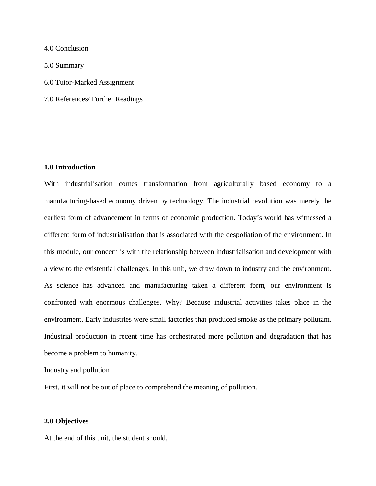4.0 Conclusion

5.0 Summary

- 6.0 Tutor-Marked Assignment
- 7.0 References/ Further Readings

## **1.0 Introduction**

With industrialisation comes transformation from agriculturally based economy to a manufacturing-based economy driven by technology. The industrial revolution was merely the earliest form of advancement in terms of economic production. Today's world has witnessed a different form of industrialisation that is associated with the despoliation of the environment. In this module, our concern is with the relationship between industrialisation and development with a view to the existential challenges. In this unit, we draw down to industry and the environment. As science has advanced and manufacturing taken a different form, our environment is confronted with enormous challenges. Why? Because industrial activities takes place in the environment. Early industries were small factories that produced smoke as the primary pollutant. Industrial production in recent time has orchestrated more pollution and degradation that has become a problem to humanity.

Industry and pollution

First, it will not be out of place to comprehend the meaning of pollution.

#### **2.0 Objectives**

At the end of this unit, the student should,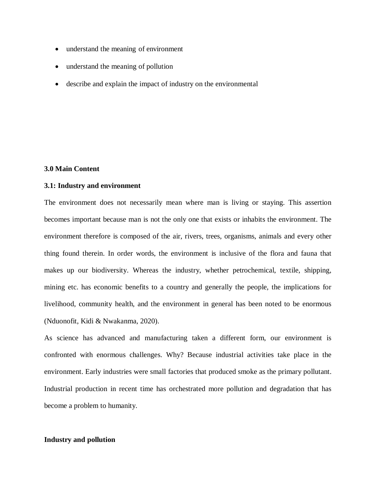- understand the meaning of environment
- understand the meaning of pollution
- describe and explain the impact of industry on the environmental

## **3.0 Main Content**

# **3.1: Industry and environment**

The environment does not necessarily mean where man is living or staying. This assertion becomes important because man is not the only one that exists or inhabits the environment. The environment therefore is composed of the air, rivers, trees, organisms, animals and every other thing found therein. In order words, the environment is inclusive of the flora and fauna that makes up our biodiversity. Whereas the industry, whether petrochemical, textile, shipping, mining etc. has economic benefits to a country and generally the people, the implications for livelihood, community health, and the environment in general has been noted to be enormous (Nduonofit, Kidi & Nwakanma, 2020).

As science has advanced and manufacturing taken a different form, our environment is confronted with enormous challenges. Why? Because industrial activities take place in the environment. Early industries were small factories that produced smoke as the primary pollutant. Industrial production in recent time has orchestrated more pollution and degradation that has become a problem to humanity.

### **Industry and pollution**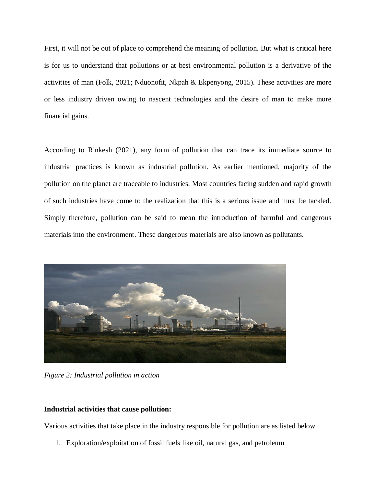First, it will not be out of place to comprehend the meaning of pollution. But what is critical here is for us to understand that pollutions or at best environmental pollution is a derivative of the activities of man (Folk, 2021; Nduonofit, Nkpah & Ekpenyong, 2015). These activities are more or less industry driven owing to nascent technologies and the desire of man to make more financial gains.

According to Rinkesh (2021), any form of pollution that can trace its immediate source to industrial practices is known as industrial pollution. As earlier mentioned, majority of the pollution on the planet are traceable to industries. Most countries facing sudden and rapid growth of such industries have come to the realization that this is a serious issue and must be tackled. Simply therefore, pollution can be said to mean the introduction of harmful and dangerous materials into the environment. These dangerous materials are also known as pollutants.



*Figure 2: Industrial pollution in action* 

# **Industrial activities that cause pollution:**

Various activities that take place in the industry responsible for pollution are as listed below.

1. Exploration/exploitation of fossil fuels like oil, natural gas, and petroleum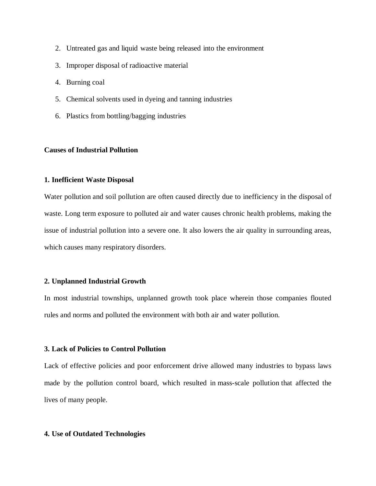- 2. Untreated gas and liquid waste being released into the environment
- 3. Improper disposal of radioactive material
- 4. Burning coal
- 5. Chemical solvents used in dyeing and tanning industries
- 6. Plastics from bottling/bagging industries

## **Causes of Industrial Pollution**

#### **1. Inefficient Waste Disposal**

Water pollution and soil pollution are often caused directly due to inefficiency in the disposal of waste. Long term exposure to polluted air and water causes chronic health problems, making the issue of industrial pollution into a severe one. It also lowers the air quality in surrounding areas, which causes many respiratory disorders.

## **2. Unplanned Industrial Growth**

In most industrial townships, unplanned growth took place wherein those companies flouted rules and norms and polluted the environment with both air and water pollution.

## **3. Lack of Policies to Control Pollution**

Lack of effective policies and poor enforcement drive allowed many industries to bypass laws made by the pollution control board, which resulted in mass-scale pollution that affected the lives of many people.

## **4. Use of Outdated Technologies**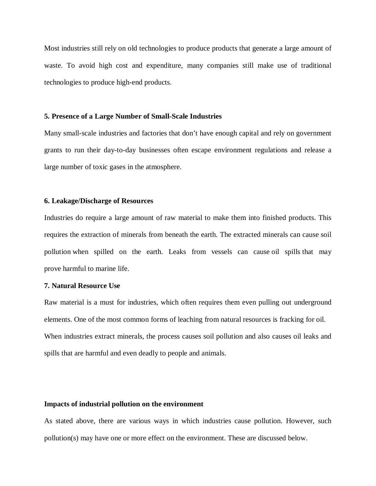Most industries still rely on old technologies to produce products that generate a large amount of waste. To avoid high cost and expenditure, many companies still make use of traditional technologies to produce high-end products.

### **5. Presence of a Large Number of Small-Scale Industries**

Many small-scale industries and factories that don't have enough capital and rely on government grants to run their day-to-day businesses often escape environment regulations and release a large number of toxic gases in the atmosphere.

### **6. Leakage/Discharge of Resources**

Industries do require a large amount of raw material to make them into finished products. This requires the extraction of minerals from beneath the earth. The extracted minerals can cause soil pollution when spilled on the earth. Leaks from vessels can cause oil spills that may prove harmful to marine life.

### **7. Natural Resource Use**

Raw material is a must for industries, which often requires them even pulling out underground elements. One of the most common forms of leaching from natural resources is fracking for oil. When industries extract minerals, the process causes soil pollution and also causes oil leaks and spills that are harmful and even deadly to people and animals.

# **Impacts of industrial pollution on the environment**

As stated above, there are various ways in which industries cause pollution. However, such pollution(s) may have one or more effect on the environment. These are discussed below.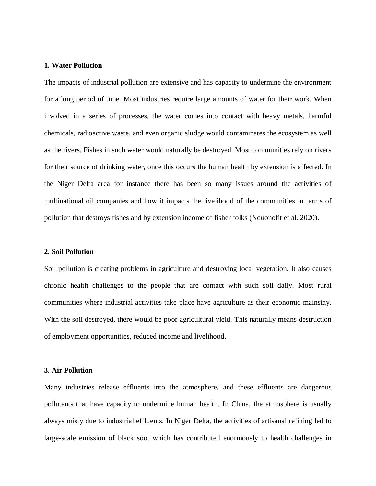## **1. Water Pollution**

The impacts of industrial pollution are extensive and has capacity to undermine the environment for a long period of time. Most industries require large amounts of water for their work. When involved in a series of processes, the water comes into contact with heavy metals, harmful chemicals, radioactive waste, and even organic sludge would contaminates the ecosystem as well as the rivers. Fishes in such water would naturally be destroyed. Most communities rely on rivers for their source of drinking water, once this occurs the human health by extension is affected. In the Niger Delta area for instance there has been so many issues around the activities of multinational oil companies and how it impacts the livelihood of the communities in terms of pollution that destroys fishes and by extension income of fisher folks (Nduonofit et al. 2020).

#### **2. Soil Pollution**

Soil pollution is creating problems in agriculture and destroying local vegetation. It also causes chronic health challenges to the people that are contact with such soil daily. Most rural communities where industrial activities take place have agriculture as their economic mainstay. With the soil destroyed, there would be poor agricultural yield. This naturally means destruction of employment opportunities, reduced income and livelihood.

### **3. Air Pollution**

Many industries release effluents into the atmosphere, and these effluents are dangerous pollutants that have capacity to undermine human health. In China, the atmosphere is usually always misty due to industrial effluents. In Niger Delta, the activities of artisanal refining led to large-scale emission of black soot which has contributed enormously to health challenges in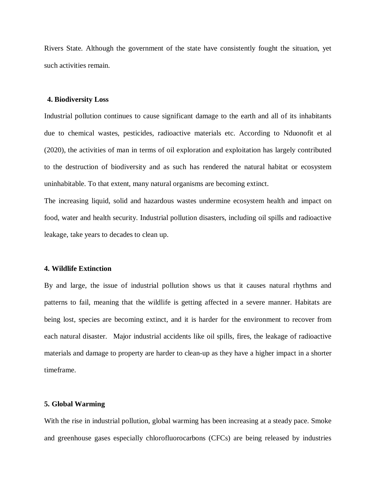Rivers State. Although the government of the state have consistently fought the situation, yet such activities remain.

#### **4. Biodiversity Loss**

Industrial pollution continues to cause significant damage to the earth and all of its inhabitants due to chemical wastes, pesticides, radioactive materials etc. According to Nduonofit et al (2020), the activities of man in terms of oil exploration and exploitation has largely contributed to the destruction of biodiversity and as such has rendered the natural habitat or ecosystem uninhabitable. To that extent, many natural organisms are becoming extinct.

The increasing liquid, solid and hazardous wastes undermine ecosystem health and impact on food, water and health security. Industrial pollution disasters, including oil spills and radioactive leakage, take years to decades to clean up.

#### **4. Wildlife Extinction**

By and large, the issue of industrial pollution shows us that it causes natural rhythms and patterns to fail, meaning that the wildlife is getting affected in a severe manner. Habitats are being lost, species are becoming extinct, and it is harder for the environment to recover from each natural disaster. Major industrial accidents like oil spills, fires, the leakage of radioactive materials and damage to property are harder to clean-up as they have a higher impact in a shorter timeframe.

#### **5. Global Warming**

With the rise in industrial pollution, global warming has been increasing at a steady pace. Smoke and greenhouse gases especially chlorofluorocarbons (CFCs) are being released by industries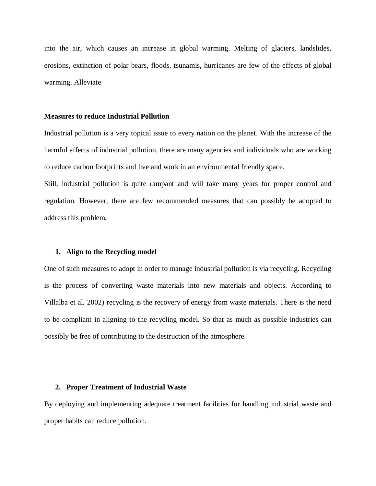into the air, which causes an increase in global warming. Melting of glaciers, landslides, erosions, extinction of polar bears, floods, tsunamis, hurricanes are few of the effects of global warming. Alleviate

### **Measures to reduce Industrial Pollution**

Industrial pollution is a very topical issue to every nation on the planet. With the increase of the harmful effects of industrial pollution, there are many agencies and individuals who are working to reduce carbon footprints and live and work in an environmental friendly space.

Still, industrial pollution is quite rampant and will take many years for proper control and regulation. However, there are few recommended measures that can possibly be adopted to address this problem.

#### **1. Align to the Recycling model**

One of such measures to adopt in order to manage industrial pollution is via recycling. Recycling is the process of converting waste materials into new materials and objects. According to Villalba et al. 2002) recycling is the recovery of energy from waste materials. There is the need to be compliant in aligning to the recycling model. So that as much as possible industries can possibly be free of contributing to the destruction of the atmosphere.

#### **2. Proper Treatment of Industrial Waste**

By deploying and implementing adequate treatment facilities for handling industrial waste and proper habits can reduce pollution.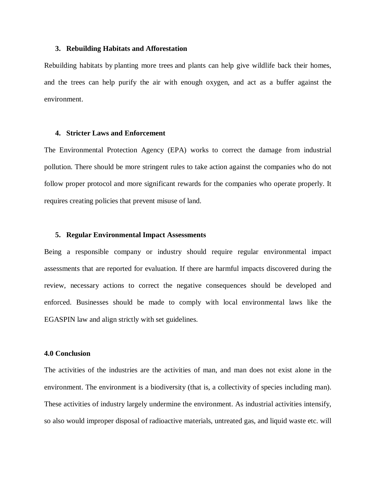### **3. Rebuilding Habitats and Afforestation**

Rebuilding habitats by planting more trees and plants can help give wildlife back their homes, and the trees can help purify the air with enough oxygen, and act as a buffer against the environment.

#### **4. Stricter Laws and Enforcement**

The Environmental Protection Agency (EPA) works to correct the damage from industrial pollution. There should be more stringent rules to take action against the companies who do not follow proper protocol and more significant rewards for the companies who operate properly. It requires creating policies that prevent misuse of land.

### **5. Regular Environmental Impact Assessments**

Being a responsible company or industry should require regular environmental impact assessments that are reported for evaluation. If there are harmful impacts discovered during the review, necessary actions to correct the negative consequences should be developed and enforced. Businesses should be made to comply with local environmental laws like the EGASPIN law and align strictly with set guidelines.

#### **4.0 Conclusion**

The activities of the industries are the activities of man, and man does not exist alone in the environment. The environment is a biodiversity (that is, a collectivity of species including man). These activities of industry largely undermine the environment. As industrial activities intensify, so also would improper disposal of radioactive materials, untreated gas, and liquid waste etc. will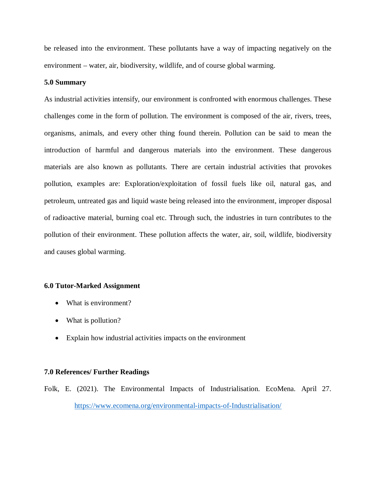be released into the environment. These pollutants have a way of impacting negatively on the environment – water, air, biodiversity, wildlife, and of course global warming.

## **5.0 Summary**

As industrial activities intensify, our environment is confronted with enormous challenges. These challenges come in the form of pollution. The environment is composed of the air, rivers, trees, organisms, animals, and every other thing found therein. Pollution can be said to mean the introduction of harmful and dangerous materials into the environment. These dangerous materials are also known as pollutants. There are certain industrial activities that provokes pollution, examples are: Exploration/exploitation of fossil fuels like oil, natural gas, and petroleum, untreated gas and liquid waste being released into the environment, improper disposal of radioactive material, burning coal etc. Through such, the industries in turn contributes to the pollution of their environment. These pollution affects the water, air, soil, wildlife, biodiversity and causes global warming.

## **6.0 Tutor-Marked Assignment**

- What is environment?
- What is pollution?
- Explain how industrial activities impacts on the environment

## **7.0 References/ Further Readings**

Folk, E. (2021). The Environmental Impacts of Industrialisation. EcoMena. April 27. https://www.ecomena.org/environmental-impacts-of-Industrialisation/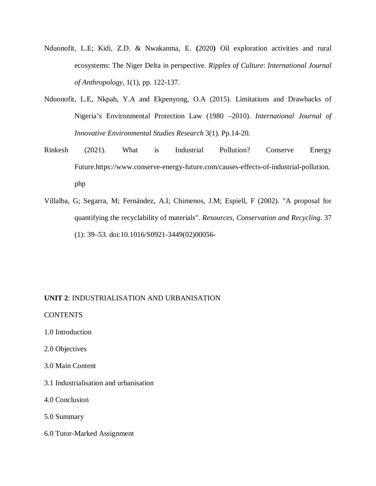- Nduonofit, L.E; Kidi, Z.D. & Nwakanma, E. **(**2020**)** Oil exploration activities and rural ecosystems: The Niger Delta in perspective. *Ripples of Culture*: *International Journal of Anthropology*, 1(1), pp. 122-137.
- Nduonofit, L.E, Nkpah, Y.A and Ekpenyong, O.A (2015). Limitations and Drawbacks of Nigeria's Environmental Protection Law (1980 –2010). *International Journal of Innovative Environmental Studies Research* 3(1). Pp.14-20.
- Rinkesh (2021). What is Industrial Pollution? Conserve Energy Future.https://www.conserve-energy-future.com/causes-effects-of-industrial-pollution. php
- Villalba, G; Segarra, M; Fernández, A.I; Chimenos, J.M; Espiell, F (2002). "A proposal for quantifying the recyclability of materials". *Resources, Conservation and Recycling*. 37 (1): 39–53. doi:10.1016/S0921-3449(02)00056-

# **UNIT 2**: INDUSTRIALISATION AND URBANISATION

**CONTENTS** 

1.0 Introduction

2.0 Objectives

3.0 Main Content

3.1 Industrialisation and urbanisation

4.0 Conclusion

5.0 Summary

6.0 Tutor-Marked Assignment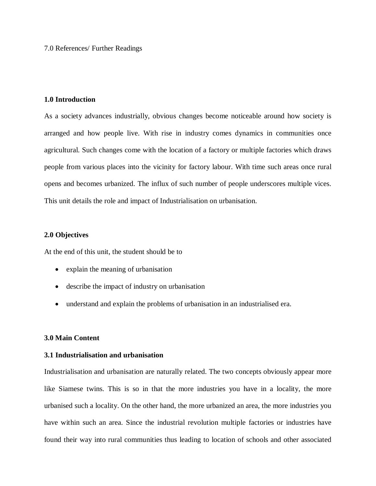7.0 References/ Further Readings

## **1.0 Introduction**

As a society advances industrially, obvious changes become noticeable around how society is arranged and how people live. With rise in industry comes dynamics in communities once agricultural. Such changes come with the location of a factory or multiple factories which draws people from various places into the vicinity for factory labour. With time such areas once rural opens and becomes urbanized. The influx of such number of people underscores multiple vices. This unit details the role and impact of Industrialisation on urbanisation.

## **2.0 Objectives**

At the end of this unit, the student should be to

- explain the meaning of urbanisation
- describe the impact of industry on urbanisation
- understand and explain the problems of urbanisation in an industrialised era.

## **3.0 Main Content**

## **3.1 Industrialisation and urbanisation**

Industrialisation and urbanisation are naturally related. The two concepts obviously appear more like Siamese twins. This is so in that the more industries you have in a locality, the more urbanised such a locality. On the other hand, the more urbanized an area, the more industries you have within such an area. Since the industrial revolution multiple factories or industries have found their way into rural communities thus leading to location of schools and other associated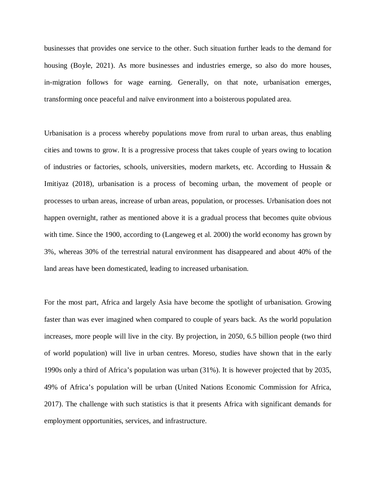businesses that provides one service to the other. Such situation further leads to the demand for housing (Boyle, 2021). As more businesses and industries emerge, so also do more houses, in-migration follows for wage earning. Generally, on that note, urbanisation emerges, transforming once peaceful and naïve environment into a boisterous populated area.

Urbanisation is a process whereby populations move from rural to urban areas, thus enabling cities and towns to grow. It is a progressive process that takes couple of years owing to location of industries or factories, schools, universities, modern markets, etc. According to Hussain  $\&$ Imitiyaz (2018), urbanisation is a process of becoming urban, the movement of people or processes to urban areas, increase of urban areas, population, or processes. Urbanisation does not happen overnight, rather as mentioned above it is a gradual process that becomes quite obvious with time. Since the 1900, according to (Langeweg et al. 2000) the world economy has grown by 3%, whereas 30% of the terrestrial natural environment has disappeared and about 40% of the land areas have been domesticated, leading to increased urbanisation.

For the most part, Africa and largely Asia have become the spotlight of urbanisation. Growing faster than was ever imagined when compared to couple of years back. As the world population increases, more people will live in the city. By projection, in 2050, 6.5 billion people (two third of world population) will live in urban centres. Moreso, studies have shown that in the early 1990s only a third of Africa's population was urban (31%). It is however projected that by 2035, 49% of Africa's population will be urban (United Nations Economic Commission for Africa, 2017). The challenge with such statistics is that it presents Africa with significant demands for employment opportunities, services, and infrastructure.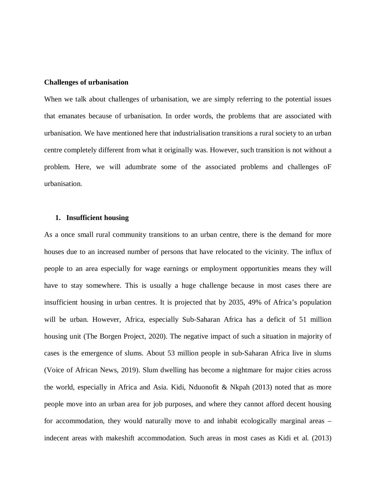### **Challenges of urbanisation**

When we talk about challenges of urbanisation, we are simply referring to the potential issues that emanates because of urbanisation. In order words, the problems that are associated with urbanisation. We have mentioned here that industrialisation transitions a rural society to an urban centre completely different from what it originally was. However, such transition is not without a problem. Here, we will adumbrate some of the associated problems and challenges oF urbanisation.

#### **1. Insufficient housing**

As a once small rural community transitions to an urban centre, there is the demand for more houses due to an increased number of persons that have relocated to the vicinity. The influx of people to an area especially for wage earnings or employment opportunities means they will have to stay somewhere. This is usually a huge challenge because in most cases there are insufficient housing in urban centres. It is projected that by 2035, 49% of Africa's population will be urban. However, Africa, especially Sub-Saharan Africa has a deficit of 51 million housing unit (The Borgen Project, 2020). The negative impact of such a situation in majority of cases is the emergence of slums. About 53 million people in sub-Saharan Africa live in slums (Voice of African News, 2019). Slum dwelling has become a nightmare for major cities across the world, especially in Africa and Asia. Kidi, Nduonofit & Nkpah (2013) noted that as more people move into an urban area for job purposes, and where they cannot afford decent housing for accommodation, they would naturally move to and inhabit ecologically marginal areas – indecent areas with makeshift accommodation. Such areas in most cases as Kidi et al. (2013)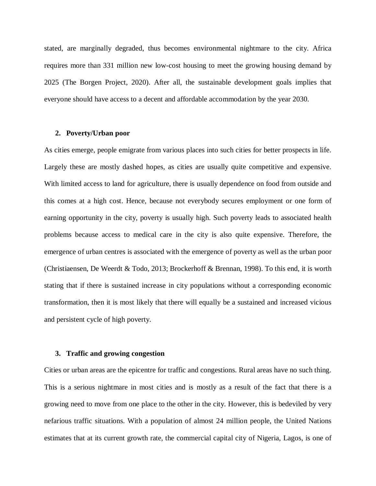stated, are marginally degraded, thus becomes environmental nightmare to the city. Africa requires more than 331 million new low-cost housing to meet the growing housing demand by 2025 (The Borgen Project, 2020). After all, the sustainable development goals implies that everyone should have access to a decent and affordable accommodation by the year 2030.

### **2. Poverty/Urban poor**

As cities emerge, people emigrate from various places into such cities for better prospects in life. Largely these are mostly dashed hopes, as cities are usually quite competitive and expensive. With limited access to land for agriculture, there is usually dependence on food from outside and this comes at a high cost. Hence, because not everybody secures employment or one form of earning opportunity in the city, poverty is usually high. Such poverty leads to associated health problems because access to medical care in the city is also quite expensive. Therefore, the emergence of urban centres is associated with the emergence of poverty as well as the urban poor (Christiaensen, De Weerdt & Todo, 2013; Brockerhoff & Brennan, 1998). To this end, it is worth stating that if there is sustained increase in city populations without a corresponding economic transformation, then it is most likely that there will equally be a sustained and increased vicious and persistent cycle of high poverty.

### **3. Traffic and growing congestion**

Cities or urban areas are the epicentre for traffic and congestions. Rural areas have no such thing. This is a serious nightmare in most cities and is mostly as a result of the fact that there is a growing need to move from one place to the other in the city. However, this is bedeviled by very nefarious traffic situations. With a population of almost 24 million people, the United Nations estimates that at its current growth rate, the commercial capital city of Nigeria, Lagos, is one of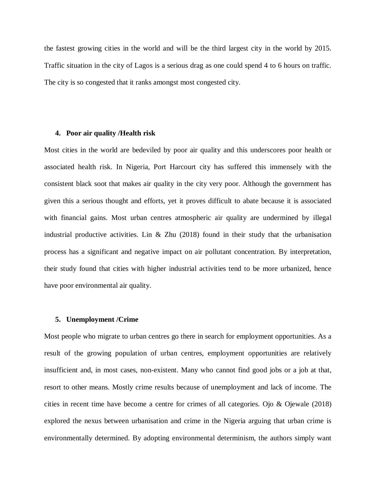the fastest growing cities in the world and will be the third largest city in the world by 2015. Traffic situation in the city of Lagos is a serious drag as one could spend 4 to 6 hours on traffic. The city is so congested that it ranks amongst most congested city.

#### **4. Poor air quality /Health risk**

Most cities in the world are bedeviled by poor air quality and this underscores poor health or associated health risk. In Nigeria, Port Harcourt city has suffered this immensely with the consistent black soot that makes air quality in the city very poor. Although the government has given this a serious thought and efforts, yet it proves difficult to abate because it is associated with financial gains. Most urban centres atmospheric air quality are undermined by illegal industrial productive activities. Lin & Zhu  $(2018)$  found in their study that the urbanisation process has a significant and negative impact on air pollutant concentration. By interpretation, their study found that cities with higher industrial activities tend to be more urbanized, hence have poor environmental air quality.

## **5. Unemployment /Crime**

Most people who migrate to urban centres go there in search for employment opportunities. As a result of the growing population of urban centres, employment opportunities are relatively insufficient and, in most cases, non-existent. Many who cannot find good jobs or a job at that, resort to other means. Mostly crime results because of unemployment and lack of income. The cities in recent time have become a centre for crimes of all categories. Ojo & Ojewale (2018) explored the nexus between urbanisation and crime in the Nigeria arguing that urban crime is environmentally determined. By adopting environmental determinism, the authors simply want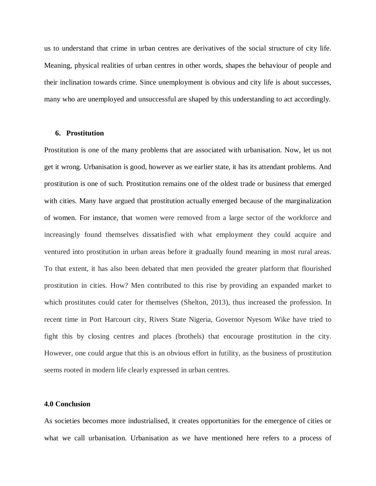us to understand that crime in urban centres are derivatives of the social structure of city life. Meaning, physical realities of urban centres in other words, shapes the behaviour of people and their inclination towards crime. Since unemployment is obvious and city life is about successes, many who are unemployed and unsuccessful are shaped by this understanding to act accordingly.

#### **6. Prostitution**

Prostitution is one of the many problems that are associated with urbanisation. Now, let us not get it wrong. Urbanisation is good, however as we earlier state, it has its attendant problems. And prostitution is one of such. Prostitution remains one of the oldest trade or business that emerged with cities. Many have argued that prostitution actually emerged because of the marginalization of women. For instance, that women were removed from a large sector of the workforce and increasingly found themselves dissatisfied with what employment they could acquire and ventured into prostitution in urban areas before it gradually found meaning in most rural areas. To that extent, it has also been debated that men provided the greater platform that flourished prostitution in cities. How? Men contributed to this rise by providing an expanded market to which prostitutes could cater for themselves (Shelton, 2013), thus increased the profession. In recent time in Port Harcourt city, Rivers State Nigeria, Governor Nyesom Wike have tried to fight this by closing centres and places (brothels) that encourage prostitution in the city. However, one could argue that this is an obvious effort in futility, as the business of prostitution seems rooted in modern life clearly expressed in urban centres.

## **4.0 Conclusion**

As societies becomes more industrialised, it creates opportunities for the emergence of cities or what we call urbanisation. Urbanisation as we have mentioned here refers to a process of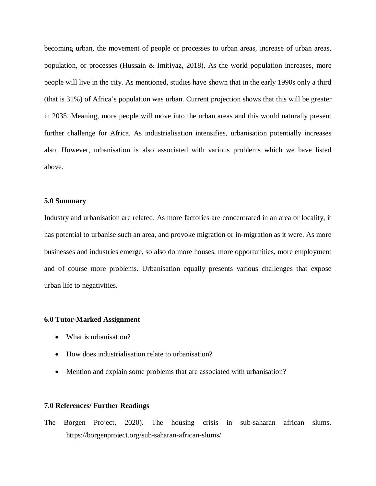becoming urban, the movement of people or processes to urban areas, increase of urban areas, population, or processes (Hussain & Imitiyaz, 2018). As the world population increases, more people will live in the city. As mentioned, studies have shown that in the early 1990s only a third (that is 31%) of Africa's population was urban. Current projection shows that this will be greater in 2035. Meaning, more people will move into the urban areas and this would naturally present further challenge for Africa. As industrialisation intensifies, urbanisation potentially increases also. However, urbanisation is also associated with various problems which we have listed above.

## **5.0 Summary**

Industry and urbanisation are related. As more factories are concentrated in an area or locality, it has potential to urbanise such an area, and provoke migration or in-migration as it were. As more businesses and industries emerge, so also do more houses, more opportunities, more employment and of course more problems. Urbanisation equally presents various challenges that expose urban life to negativities.

#### **6.0 Tutor-Marked Assignment**

- What is urbanisation?
- How does industrialisation relate to urbanisation?
- Mention and explain some problems that are associated with urbanisation?

## **7.0 References/ Further Readings**

The Borgen Project, 2020). The housing crisis in sub-saharan african slums. https://borgenproject.org/sub-saharan-african-slums/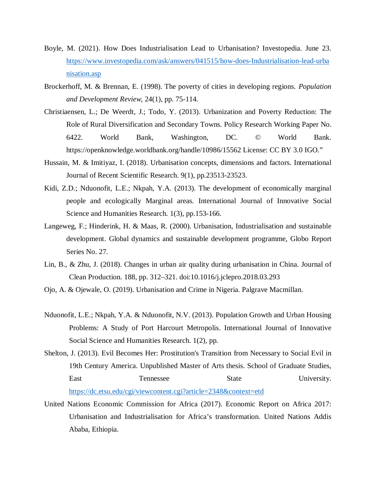- Boyle, M. (2021). How Does Industrialisation Lead to Urbanisation? Investopedia. June 23. https://www.investopedia.com/ask/answers/041515/how-does-Industrialisation-lead-urba nisation.asp
- Brockerhoff, M. & Brennan, E. (1998). The poverty of cities in developing regions. *Population and Development Review*, 24(1), pp. 75-114.
- Christiaensen, L.; De Weerdt, J.; Todo, Y. (2013). Urbanization and Poverty Reduction: The Role of Rural Diversification and Secondary Towns. Policy Research Working Paper No. 6422. World Bank, Washington, DC. © World Bank. https://openknowledge.worldbank.org/handle/10986/15562 License: CC BY 3.0 IGO."
- Hussain, M. & Imitiyaz, I. (2018). Urbanisation concepts, dimensions and factors. International Journal of Recent Scientific Research. 9(1), pp.23513-23523.
- Kidi, Z.D.; Nduonofit, L.E.; Nkpah, Y.A. (2013). The development of economically marginal people and ecologically Marginal areas. International Journal of Innovative Social Science and Humanities Research. 1(3), pp.153-166.
- Langeweg, F.; Hinderink, H. & Maas, R. (2000). Urbanisation, Industrialisation and sustainable development. Global dynamics and sustainable development programme, Globo Report Series No. 27.
- Lin, B., & Zhu, J. (2018). Changes in urban air quality during urbanisation in China. Journal of Clean Production. 188, pp. 312–321. doi:10.1016/j.jclepro.2018.03.293
- Ojo, A. & Ojewale, O. (2019). Urbanisation and Crime in Nigeria. Palgrave Macmillan.
- Nduonofit, L.E.; Nkpah, Y.A. & Nduonofit, N.V. (2013). Population Growth and Urban Housing Problems: A Study of Port Harcourt Metropolis. International Journal of Innovative Social Science and Humanities Research. 1(2), pp.
- Shelton, J. (2013). Evil Becomes Her: Prostitution's Transition from Necessary to Social Evil in 19th Century America. Unpublished Master of Arts thesis. School of Graduate Studies, East Tennessee State University. https://dc.etsu.edu/cgi/viewcontent.cgi?article=2348&context=etd
- United Nations Economic Commission for Africa (2017). Economic Report on Africa 2017: Urbanisation and Industrialisation for Africa's transformation. United Nations Addis Ababa, Ethiopia.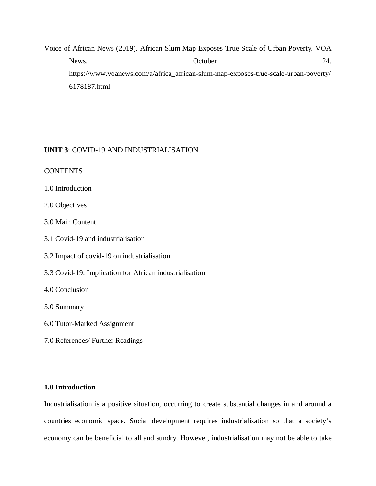Voice of African News (2019). African Slum Map Exposes True Scale of Urban Poverty. VOA News,  $October 24.$ https://www.voanews.com/a/africa\_african-slum-map-exposes-true-scale-urban-poverty/ 6178187.html

# **UNIT 3**: COVID-19 AND INDUSTRIALISATION

**CONTENTS** 

1.0 Introduction

2.0 Objectives

3.0 Main Content

3.1 Covid-19 and industrialisation

3.2 Impact of covid-19 on industrialisation

3.3 Covid-19: Implication for African industrialisation

4.0 Conclusion

5.0 Summary

6.0 Tutor-Marked Assignment

7.0 References/ Further Readings

## **1.0 Introduction**

Industrialisation is a positive situation, occurring to create substantial changes in and around a countries economic space. Social development requires industrialisation so that a society's economy can be beneficial to all and sundry. However, industrialisation may not be able to take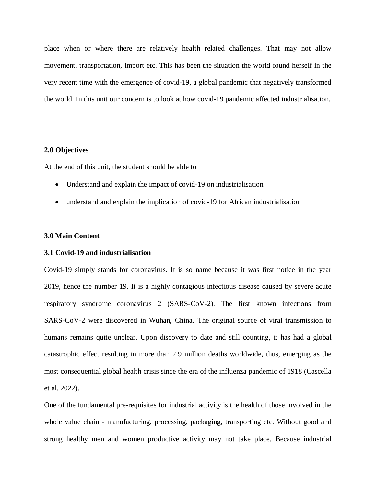place when or where there are relatively health related challenges. That may not allow movement, transportation, import etc. This has been the situation the world found herself in the very recent time with the emergence of covid-19, a global pandemic that negatively transformed the world. In this unit our concern is to look at how covid-19 pandemic affected industrialisation.

## **2.0 Objectives**

At the end of this unit, the student should be able to

- Understand and explain the impact of covid-19 on industrialisation
- understand and explain the implication of covid-19 for African industrialisation

## **3.0 Main Content**

# **3.1 Covid-19 and industrialisation**

Covid-19 simply stands for coronavirus. It is so name because it was first notice in the year 2019, hence the number 19. It is a highly contagious infectious disease caused by severe acute respiratory syndrome coronavirus 2 (SARS-CoV-2). The first known infections from SARS-CoV-2 were discovered in Wuhan, China. The original source of viral transmission to humans remains quite unclear. Upon discovery to date and still counting, it has had a global catastrophic effect resulting in more than 2.9 million deaths worldwide, thus, emerging as the most consequential global health crisis since the era of the influenza pandemic of 1918 (Cascella et al. 2022).

One of the fundamental pre-requisites for industrial activity is the health of those involved in the whole value chain - manufacturing, processing, packaging, transporting etc. Without good and strong healthy men and women productive activity may not take place. Because industrial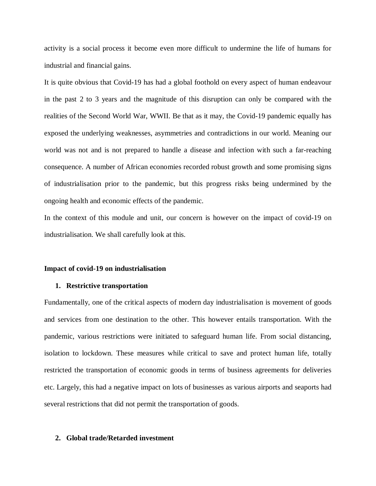activity is a social process it become even more difficult to undermine the life of humans for industrial and financial gains.

It is quite obvious that Covid-19 has had a global foothold on every aspect of human endeavour in the past 2 to 3 years and the magnitude of this disruption can only be compared with the realities of the Second World War, WWII. Be that as it may, the Covid-19 pandemic equally has exposed the underlying weaknesses, asymmetries and contradictions in our world. Meaning our world was not and is not prepared to handle a disease and infection with such a far-reaching consequence. A number of African economies recorded robust growth and some promising signs of industrialisation prior to the pandemic, but this progress risks being undermined by the ongoing health and economic effects of the pandemic.

In the context of this module and unit, our concern is however on the impact of covid-19 on industrialisation. We shall carefully look at this.

#### **Impact of covid-19 on industrialisation**

#### **1. Restrictive transportation**

Fundamentally, one of the critical aspects of modern day industrialisation is movement of goods and services from one destination to the other. This however entails transportation. With the pandemic, various restrictions were initiated to safeguard human life. From social distancing, isolation to lockdown. These measures while critical to save and protect human life, totally restricted the transportation of economic goods in terms of business agreements for deliveries etc. Largely, this had a negative impact on lots of businesses as various airports and seaports had several restrictions that did not permit the transportation of goods.

### **2. Global trade/Retarded investment**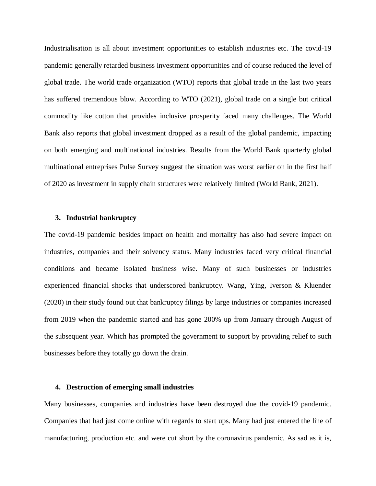Industrialisation is all about investment opportunities to establish industries etc. The covid-19 pandemic generally retarded business investment opportunities and of course reduced the level of global trade. The world trade organization (WTO) reports that global trade in the last two years has suffered tremendous blow. According to WTO (2021), global trade on a single but critical commodity like cotton that provides inclusive prosperity faced many challenges. The World Bank also reports that global investment dropped as a result of the global pandemic, impacting on both emerging and multinational industries. Results from the World Bank quarterly global multinational entreprises Pulse Survey suggest the situation was worst earlier on in the first half of 2020 as investment in supply chain structures were relatively limited (World Bank, 2021).

#### **3. Industrial bankruptcy**

The covid-19 pandemic besides impact on health and mortality has also had severe impact on industries, companies and their solvency status. Many industries faced very critical financial conditions and became isolated business wise. Many of such businesses or industries experienced financial shocks that underscored bankruptcy. Wang, Ying, Iverson & Kluender (2020) in their study found out that bankruptcy filings by large industries or companies increased from 2019 when the pandemic started and has gone 200% up from January through August of the subsequent year. Which has prompted the government to support by providing relief to such businesses before they totally go down the drain.

## **4. Destruction of emerging small industries**

Many businesses, companies and industries have been destroyed due the covid-19 pandemic. Companies that had just come online with regards to start ups. Many had just entered the line of manufacturing, production etc. and were cut short by the coronavirus pandemic. As sad as it is,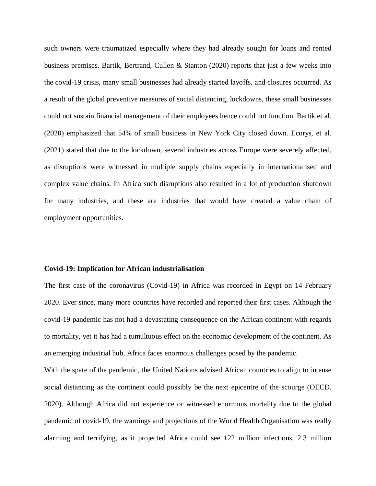such owners were traumatized especially where they had already sought for loans and rented business premises. Bartik, Bertrand, Cullen & Stanton (2020) reports that just a few weeks into the covid-19 crisis, many small businesses had already started layoffs, and closures occurred. As a result of the global preventive measures of social distancing, lockdowns, these small businesses could not sustain financial management of their employees hence could not function. Bartik et al. (2020) emphasized that 54% of small business in New York City closed down. Ecorys, et al. (2021) stated that due to the lockdown, several industries across Europe were severely affected, as disruptions were witnessed in multiple supply chains especially in internationalised and complex value chains. In Africa such disruptions also resulted in a lot of production shutdown for many industries, and these are industries that would have created a value chain of employment opportunities.

#### **Covid-19: Implication for African industrialisation**

The first case of the coronavirus (Covid-19) in Africa was recorded in Egypt on 14 February 2020. Ever since, many more countries have recorded and reported their first cases. Although the covid-19 pandemic has not had a devastating consequence on the African continent with regards to mortality, yet it has had a tumultuous effect on the economic development of the continent. As an emerging industrial hub, Africa faces enormous challenges posed by the pandemic.

With the spate of the pandemic, the United Nations advised African countries to align to intense social distancing as the continent could possibly be the next epicentre of the scourge (OECD, 2020). Although Africa did not experience or witnessed enormous mortality due to the global pandemic of covid-19, the warnings and projections of the World Health Organisation was really alarming and terrifying, as it projected Africa could see 122 million infections, 2.3 million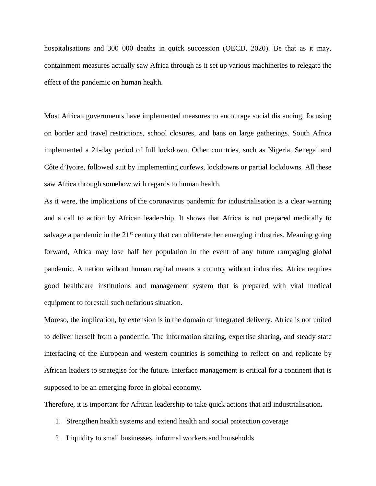hospitalisations and 300 000 deaths in quick succession (OECD, 2020). Be that as it may, containment measures actually saw Africa through as it set up various machineries to relegate the effect of the pandemic on human health.

Most African governments have implemented measures to encourage social distancing, focusing on border and travel restrictions, school closures, and bans on large gatherings. South Africa implemented a 21‑day period of full lockdown. Other countries, such as Nigeria, Senegal and Côte d'Ivoire, followed suit by implementing curfews, lockdowns or partial lockdowns. All these saw Africa through somehow with regards to human health.

As it were, the implications of the coronavirus pandemic for industrialisation is a clear warning and a call to action by African leadership. It shows that Africa is not prepared medically to salvage a pandemic in the  $21<sup>st</sup>$  century that can obliterate her emerging industries. Meaning going forward, Africa may lose half her population in the event of any future rampaging global pandemic. A nation without human capital means a country without industries. Africa requires good healthcare institutions and management system that is prepared with vital medical equipment to forestall such nefarious situation.

Moreso, the implication, by extension is in the domain of integrated delivery. Africa is not united to deliver herself from a pandemic. The information sharing, expertise sharing, and steady state interfacing of the European and western countries is something to reflect on and replicate by African leaders to strategise for the future. Interface management is critical for a continent that is supposed to be an emerging force in global economy.

Therefore, it is important for African leadership to take quick actions that aid industrialisation**.** 

- 1. Strengthen health systems and extend health and social protection coverage
- 2. Liquidity to small businesses, informal workers and households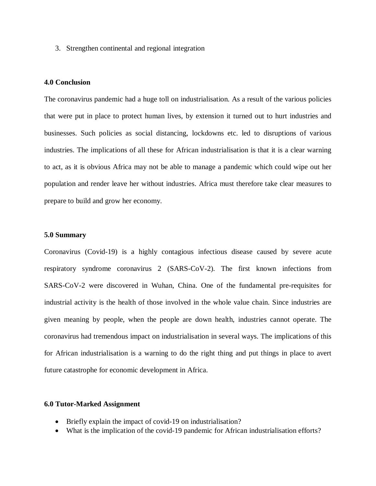3. Strengthen continental and regional integration

## **4.0 Conclusion**

The coronavirus pandemic had a huge toll on industrialisation. As a result of the various policies that were put in place to protect human lives, by extension it turned out to hurt industries and businesses. Such policies as social distancing, lockdowns etc. led to disruptions of various industries. The implications of all these for African industrialisation is that it is a clear warning to act, as it is obvious Africa may not be able to manage a pandemic which could wipe out her population and render leave her without industries. Africa must therefore take clear measures to prepare to build and grow her economy.

#### **5.0 Summary**

Coronavirus (Covid-19) is a highly contagious infectious disease caused by severe acute respiratory syndrome coronavirus 2 (SARS-CoV-2). The first known infections from SARS-CoV-2 were discovered in Wuhan, China. One of the fundamental pre-requisites for industrial activity is the health of those involved in the whole value chain. Since industries are given meaning by people, when the people are down health, industries cannot operate. The coronavirus had tremendous impact on industrialisation in several ways. The implications of this for African industrialisation is a warning to do the right thing and put things in place to avert future catastrophe for economic development in Africa.

## **6.0 Tutor-Marked Assignment**

- Briefly explain the impact of covid-19 on industrialisation?
- What is the implication of the covid-19 pandemic for African industrialisation efforts?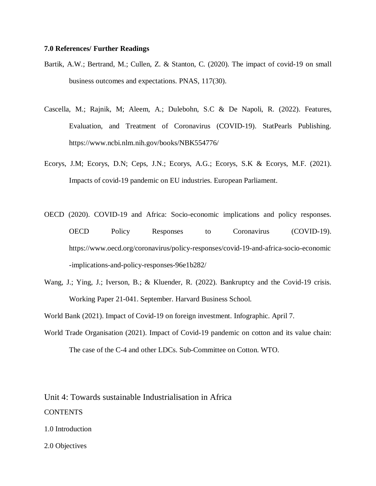## **7.0 References/ Further Readings**

- Bartik, A.W.; Bertrand, M.; Cullen, Z. & Stanton, C. (2020). The impact of covid-19 on small business outcomes and expectations. PNAS, 117(30).
- Cascella, M.; Rajnik, M; Aleem, A.; Dulebohn, S.C & De Napoli, R. (2022). Features, Evaluation, and Treatment of Coronavirus (COVID-19). StatPearls Publishing. https://www.ncbi.nlm.nih.gov/books/NBK554776/
- Ecorys, J.M; Ecorys, D.N; Ceps, J.N.; Ecorys, A.G.; Ecorys, S.K & Ecorys, M.F. (2021). Impacts of covid-19 pandemic on EU industries. European Parliament.
- OECD (2020). COVID-19 and Africa: Socio-economic implications and policy responses. OECD Policy Responses to Coronavirus (COVID-19). https://www.oecd.org/coronavirus/policy-responses/covid-19-and-africa-socio-economic -implications-and-policy-responses-96e1b282/
- Wang, J.; Ying, J.; Iverson, B.; & Kluender, R. (2022). Bankruptcy and the Covid-19 crisis. Working Paper 21-041. September. Harvard Business School.

World Bank (2021). Impact of Covid-19 on foreign investment. Infographic. April 7.

World Trade Organisation (2021). Impact of Covid-19 pandemic on cotton and its value chain: The case of the C-4 and other LDCs. Sub-Committee on Cotton. WTO.

Unit 4: Towards sustainable Industrialisation in Africa CONTENTS

- 1.0 Introduction
- 2.0 Objectives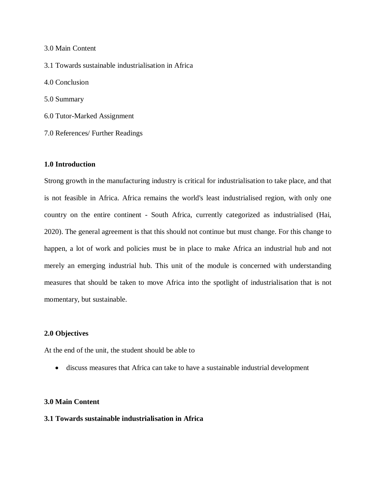3.0 Main Content 3.1 Towards sustainable industrialisation in Africa 4.0 Conclusion 5.0 Summary 6.0 Tutor-Marked Assignment

7.0 References/ Further Readings

# **1.0 Introduction**

Strong growth in the manufacturing industry is critical for industrialisation to take place, and that is not feasible in Africa. Africa remains the world's least industrialised region, with only one country on the entire continent - South Africa, currently categorized as industrialised (Hai, 2020). The general agreement is that this should not continue but must change. For this change to happen, a lot of work and policies must be in place to make Africa an industrial hub and not merely an emerging industrial hub. This unit of the module is concerned with understanding measures that should be taken to move Africa into the spotlight of industrialisation that is not momentary, but sustainable.

## **2.0 Objectives**

At the end of the unit, the student should be able to

discuss measures that Africa can take to have a sustainable industrial development

# **3.0 Main Content**

# **3.1 Towards sustainable industrialisation in Africa**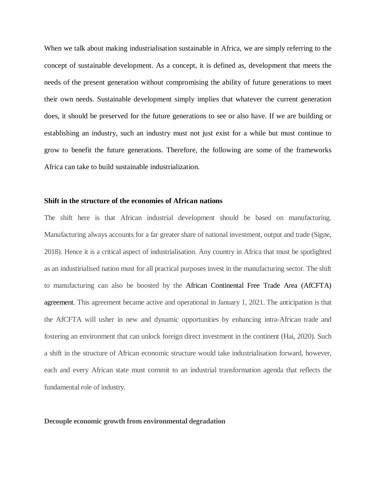When we talk about making industrialisation sustainable in Africa, we are simply referring to the concept of sustainable development. As a concept, it is defined as, development that meets the needs of the present generation without compromising the ability of future generations to meet their own needs. Sustainable development simply implies that whatever the current generation does, it should be preserved for the future generations to see or also have. If we are building or establishing an industry, such an industry must not just exist for a while but must continue to grow to benefit the future generations. Therefore, the following are some of the frameworks Africa can take to build sustainable industrialization.

## **Shift in the structure of the economies of African nations**

The shift here is that African industrial development should be based on manufacturing. Manufacturing always accounts for a far greater share of national investment, output and trade (Signe, 2018). Hence it is a critical aspect of industrialisation. Any country in Africa that must be spotlighted as an industirialised nation must for all practical purposes invest in the manufacturing sector. The shift to manufacturing can also be boosted by the African Continental Free Trade Area (AfCFTA) agreement. This agreement became active and operational in January 1, 2021. The anticipation is that the AfCFTA will usher in new and dynamic opportunities by enhancing intra-African trade and fostering an environment that can unlock foreign direct investment in the continent (Hai, 2020). Such a shift in the structure of African economic structure would take industrialisation forward, however, each and every African state must commit to an industrial transformation agenda that reflects the fundamental role of industry.

#### **Decouple economic growth from environmental degradation**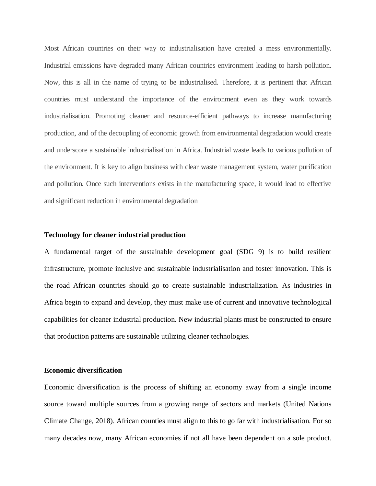Most African countries on their way to industrialisation have created a mess environmentally. Industrial emissions have degraded many African countries environment leading to harsh pollution. Now, this is all in the name of trying to be industrialised. Therefore, it is pertinent that African countries must understand the importance of the environment even as they work towards industrialisation. Promoting cleaner and resource-efficient pathways to increase manufacturing production, and of the decoupling of economic growth from environmental degradation would create and underscore a sustainable industrialisation in Africa. Industrial waste leads to various pollution of the environment. It is key to align business with clear waste management system, water purification and pollution. Once such interventions exists in the manufacturing space, it would lead to effective and significant reduction in environmental degradation

### **Technology for cleaner industrial production**

A fundamental target of the sustainable development goal (SDG 9) is to build resilient infrastructure, promote inclusive and sustainable industrialisation and foster innovation. This is the road African countries should go to create sustainable industrialization. As industries in Africa begin to expand and develop, they must make use of current and innovative technological capabilities for cleaner industrial production. New industrial plants must be constructed to ensure that production patterns are sustainable utilizing cleaner technologies.

### **Economic diversification**

Economic diversification is the process of shifting an economy away from a single income source toward multiple sources from a growing range of sectors and markets (United Nations Climate Change, 2018). African counties must align to this to go far with industrialisation. For so many decades now, many African economies if not all have been dependent on a sole product.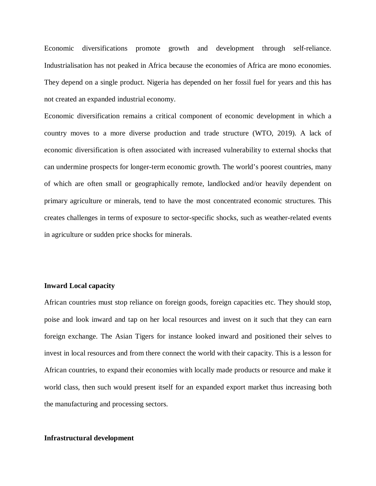Economic diversifications promote growth and development through self-reliance. Industrialisation has not peaked in Africa because the economies of Africa are mono economies. They depend on a single product. Nigeria has depended on her fossil fuel for years and this has not created an expanded industrial economy.

Economic diversification remains a critical component of economic development in which a country moves to a more diverse production and trade structure (WTO, 2019). A lack of economic diversification is often associated with increased vulnerability to external shocks that can undermine prospects for longer-term economic growth. The world's poorest countries, many of which are often small or geographically remote, landlocked and/or heavily dependent on primary agriculture or minerals, tend to have the most concentrated economic structures. This creates challenges in terms of exposure to sector-specific shocks, such as weather-related events in agriculture or sudden price shocks for minerals.

### **Inward Local capacity**

African countries must stop reliance on foreign goods, foreign capacities etc. They should stop, poise and look inward and tap on her local resources and invest on it such that they can earn foreign exchange. The Asian Tigers for instance looked inward and positioned their selves to invest in local resources and from there connect the world with their capacity. This is a lesson for African countries, to expand their economies with locally made products or resource and make it world class, then such would present itself for an expanded export market thus increasing both the manufacturing and processing sectors.

### **Infrastructural development**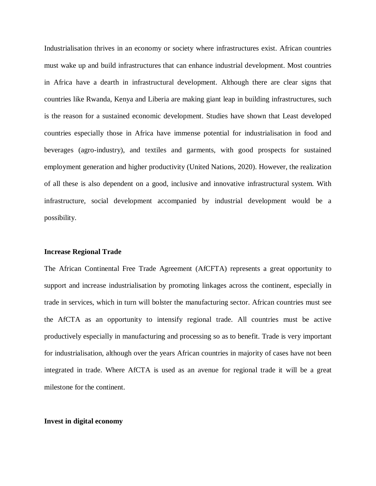Industrialisation thrives in an economy or society where infrastructures exist. African countries must wake up and build infrastructures that can enhance industrial development. Most countries in Africa have a dearth in infrastructural development. Although there are clear signs that countries like Rwanda, Kenya and Liberia are making giant leap in building infrastructures, such is the reason for a sustained economic development. Studies have shown that Least developed countries especially those in Africa have immense potential for industrialisation in food and beverages (agro-industry), and textiles and garments, with good prospects for sustained employment generation and higher productivity (United Nations, 2020). However, the realization of all these is also dependent on a good, inclusive and innovative infrastructural system. With infrastructure, social development accompanied by industrial development would be a possibility.

## **Increase Regional Trade**

The African Continental Free Trade Agreement (AfCFTA) represents a great opportunity to support and increase industrialisation by promoting linkages across the continent, especially in trade in services, which in turn will bolster the manufacturing sector. African countries must see the AfCTA as an opportunity to intensify regional trade. All countries must be active productively especially in manufacturing and processing so as to benefit. Trade is very important for industrialisation, although over the years African countries in majority of cases have not been integrated in trade. Where AfCTA is used as an avenue for regional trade it will be a great milestone for the continent.

#### **Invest in digital economy**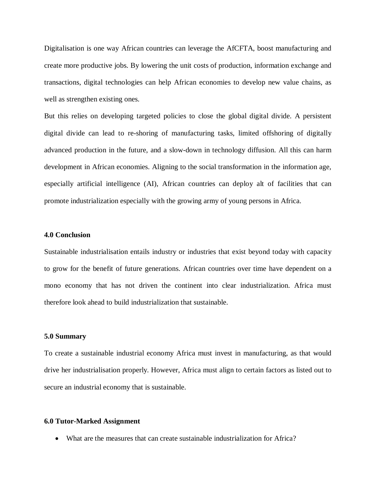Digitalisation is one way African countries can leverage the AfCFTA, boost manufacturing and create more productive jobs. By lowering the unit costs of production, information exchange and transactions, digital technologies can help African economies to develop new value chains, as well as strengthen existing ones.

But this relies on developing targeted policies to close the global digital divide. A persistent digital divide can lead to re-shoring of manufacturing tasks, limited offshoring of digitally advanced production in the future, and a slow-down in technology diffusion. All this can harm development in African economies. Aligning to the social transformation in the information age, especially artificial intelligence (AI), African countries can deploy alt of facilities that can promote industrialization especially with the growing army of young persons in Africa.

### **4.0 Conclusion**

Sustainable industrialisation entails industry or industries that exist beyond today with capacity to grow for the benefit of future generations. African countries over time have dependent on a mono economy that has not driven the continent into clear industrialization. Africa must therefore look ahead to build industrialization that sustainable.

#### **5.0 Summary**

To create a sustainable industrial economy Africa must invest in manufacturing, as that would drive her industrialisation properly. However, Africa must align to certain factors as listed out to secure an industrial economy that is sustainable.

#### **6.0 Tutor-Marked Assignment**

What are the measures that can create sustainable industrialization for Africa?